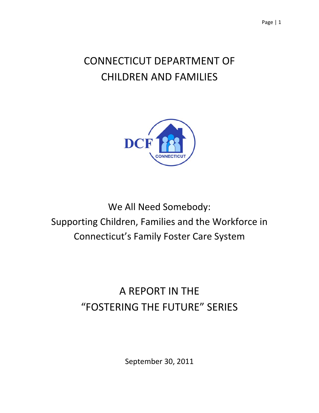# CONNECTICUT DEPARTMENT OF CHILDREN AND FAMILIES



We All Need Somebody: Supporting Children, Families and the Workforce in Connecticut's Family Foster Care System

# A REPORT IN THE "FOSTERING THE FUTURE" SERIES

September 30, 2011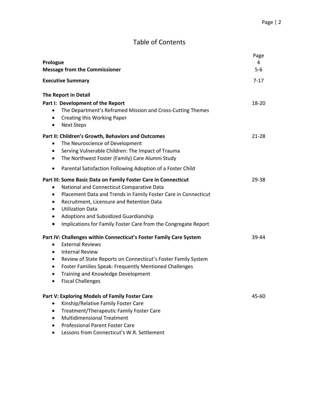## Table of Contents

| Prologue<br><b>Message from the Commissioner</b>                                                                                                                                                                                                                                                                                                                                     | Page<br>4<br>$5-6$ |
|--------------------------------------------------------------------------------------------------------------------------------------------------------------------------------------------------------------------------------------------------------------------------------------------------------------------------------------------------------------------------------------|--------------------|
| <b>Executive Summary</b>                                                                                                                                                                                                                                                                                                                                                             | $7-17$             |
| The Report in Detail<br>Part I: Development of the Report<br>The Department's Reframed Mission and Cross-Cutting Themes<br>$\bullet$                                                                                                                                                                                                                                                 | 18-20              |
| Creating this Working Paper<br>$\bullet$<br><b>Next Steps</b><br>$\bullet$                                                                                                                                                                                                                                                                                                           |                    |
| Part II: Children's Growth, Behaviors and Outcomes<br>The Neuroscience of Development<br>Serving Vulnerable Children: The Impact of Trauma<br>$\bullet$<br>The Northwest Foster (Family) Care Alumni Study<br>$\bullet$                                                                                                                                                              | $21 - 28$          |
| Parental Satisfaction Following Adoption of a Foster Child<br>٠                                                                                                                                                                                                                                                                                                                      |                    |
| Part III: Some Basic Data on Family Foster Care in Connecticut<br>National and Connecticut Comparative Data<br>٠<br>Placement Data and Trends in Family Foster Care in Connecticut<br>٠<br>Recruitment, Licensure and Retention Data<br>$\bullet$<br><b>Utilization Data</b><br>$\bullet$<br>Adoptions and Subsidized Guardianship<br>٠                                              | 29-38              |
| Implications for Family Foster Care from the Congregate Report<br>$\bullet$<br>Part IV: Challenges within Connecticut's Foster Family Care System<br><b>External Reviews</b><br>$\bullet$<br><b>Internal Review</b><br>$\bullet$<br>Review of State Reports on Connecticut's Foster Family System<br>٠<br><b>Foster Families Speak: Frequently Mentioned Challenges</b><br>$\bullet$ | 39-44              |
| Training and Knowledge Development<br>$\bullet$<br><b>Fiscal Challenges</b><br>٠                                                                                                                                                                                                                                                                                                     |                    |
| Part V: Exploring Models of Family Foster Care<br>Kinship/Relative Family Foster Care<br>Treatment/Therapeutic Family Foster Care<br>٠<br><b>Multidimensional Treatment</b><br><b>Professional Parent Foster Care</b><br>Lessons from Connecticut's W.R. Settlement                                                                                                                  | 45-60              |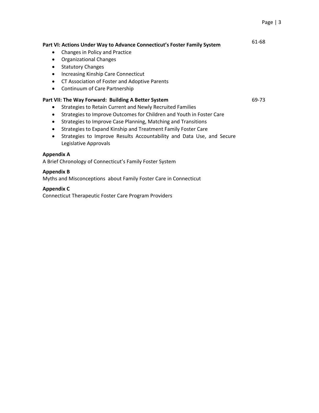| Part VI: Actions Under Way to Advance Connecticut's Foster Family System<br>Changes in Policy and Practice<br>٠<br><b>Organizational Changes</b><br>$\bullet$<br><b>Statutory Changes</b><br>$\bullet$<br>Increasing Kinship Care Connecticut<br>$\bullet$<br>CT Association of Foster and Adoptive Parents<br>$\bullet$<br>Continuum of Care Partnership<br>$\bullet$                                                                                                                | 61-68 |
|---------------------------------------------------------------------------------------------------------------------------------------------------------------------------------------------------------------------------------------------------------------------------------------------------------------------------------------------------------------------------------------------------------------------------------------------------------------------------------------|-------|
| Part VII: The Way Forward: Building A Better System<br>Strategies to Retain Current and Newly Recruited Families<br>٠<br>Strategies to Improve Outcomes for Children and Youth in Foster Care<br>$\bullet$<br>Strategies to Improve Case Planning, Matching and Transitions<br>$\bullet$<br>Strategies to Expand Kinship and Treatment Family Foster Care<br>$\bullet$<br>Strategies to Improve Results Accountability and Data Use, and Secure<br>$\bullet$<br>Legislative Approvals | 69-73 |
| <b>Appendix A</b><br>A Brief Chronology of Connecticut's Family Foster System                                                                                                                                                                                                                                                                                                                                                                                                         |       |

**Appendix B**

Myths and Misconceptions about Family Foster Care in Connecticut

**Appendix C**

Connecticut Therapeutic Foster Care Program Providers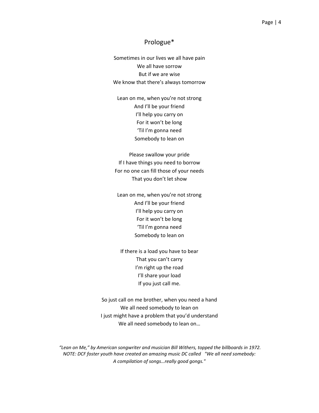#### Prologue\*

Sometimes in our lives we all have pain We all have sorrow But if we are wise We know that there's always tomorrow

Lean on me, when you're not strong And I'll be your friend I'll help you carry on For it won't be long 'Til I'm gonna need Somebody to lean on

Please swallow your pride If I have things you need to borrow For no one can fill those of your needs That you don't let show

Lean on me, when you're not strong And I'll be your friend I'll help you carry on For it won't be long 'Til I'm gonna need Somebody to lean on

If there is a load you have to bear That you can't carry I'm right up the road I'll share your load If you just call me.

So just call on me brother, when you need a hand We all need somebody to lean on I just might have a problem that you'd understand We all need somebody to lean on…

*"Lean on Me," by American songwriter and musician Bill Withers, topped the billboards in 1972. NOTE: DCF foster youth have created an amazing music DC called "We all need somebody: A compilation of songs…really good gongs."*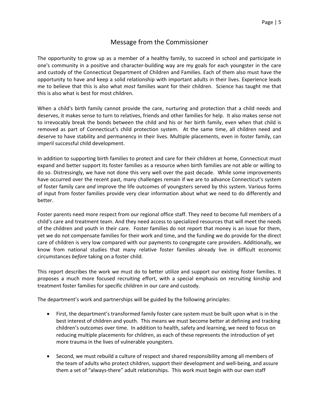## Message from the Commissioner

The opportunity to grow up as a member of a healthy family, to succeed in school and participate in one's community in a positive and character‐building way are my goals for each youngster in the care and custody of the Connecticut Department of Children and Families. Each of them also must have the opportunity to have and keep a solid relationship with important adults in their lives. Experience leads me to believe that this is also what *most* families want for their children. Science has taught me that this is also what is best for most children.

When a child's birth family cannot provide the care, nurturing and protection that a child needs and deserves, it makes sense to turn to relatives, friends and other families for help. It also makes sense not to irrevocably break the bonds between the child and his or her birth family, even when that child is removed as part of Connecticut's child protection system. At the same time, all children need and deserve to have stability and permanency in their lives. Multiple placements, even in foster family, can imperil successful child development.

In addition to supporting birth families to protect and care for their children at home, Connecticut must expand and better support its foster families as a resource when birth families are not able or willing to do so. Distressingly, we have not done this very well over the past decade. While some improvements have occurred over the recent past, many challenges remain if we are to advance Connecticut's system of foster family care *and* improve the life outcomes of youngsters served by this system. Various forms of input from foster families provide very clear information about what we need to do differently and better.

Foster parents need more respect from our regional office staff. They need to become full members of a child's care and treatment team. And they need access to specialized resources that will meet the needs of the children and youth in their care. Foster families do not report that money is an issue for them, yet we do not compensate families for their work and time, and the funding we do provide for the direct care of children is very low compared with our payments to congregate care providers. Additionally, we know from national studies that many relative foster families already live in difficult economic circumstances *before* taking on a foster child.

This report describes the work we must do to better utilize and support our existing foster families. It proposes a much more focused recruiting effort, with a special emphasis on recruiting kinship and treatment foster families for specific children in our care and custody.

The department's work and partnerships will be guided by the following principles:

- First, the department's transformed family foster care system must be built upon what is in the best interest of children and youth. This means we must become better at defining and tracking children's outcomes over time. In addition to health, safety and learning, we need to focus on reducing multiple placements for children, as each of these represents the introduction of yet more trauma in the lives of vulnerable youngsters.
- Second, we must rebuild a culture of respect and shared responsibility among all members of the team of adults who protect children, support their development and well‐being, and assure them a set of "always‐there" adult relationships. This work must begin with our own staff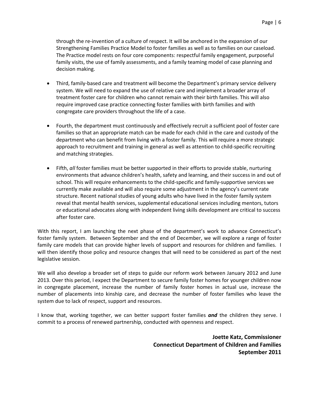through the re‐invention of a culture of respect. It will be anchored in the expansion of our Strengthening Families Practice Model to foster families as well as to families on our caseload. The Practice model rests on four core components: respectful family engagement, purposeful family visits, the use of family assessments, and a family teaming model of case planning and decision making.

- Third, family‐based care and treatment will become the Department's primary service delivery system. We will need to expand the use of relative care and implement a broader array of treatment foster care for children who cannot remain with their birth families. This will also require improved case practice connecting foster families with birth families and with congregate care providers throughout the life of a case.
- Fourth, the department must continuously and effectively recruit a sufficient pool of foster care families so that an appropriate match can be made for each child in the care and custody of the department who can benefit from living with a foster family. This will require a more strategic approach to recruitment and training in general as well as attention to child‐specific recruiting and matching strategies.
- Fifth, *all* foster families must be better supported in their efforts to provide stable, nurturing environments that advance children's health, safety and learning, and their success in and out of school. This will require enhancements to the child‐specific and family‐supportive services we currently make available and will also require some adjustment in the agency's current rate structure. Recent national studies of young adults who have lived in the foster family system reveal that mental health services, supplemental educational services including mentors, tutors or educational advocates along with independent living skills development are critical to success after foster care.

With this report, I am launching the next phase of the department's work to advance Connecticut's foster family system. Between September and the end of December, we will explore a range of foster family care models that can provide higher levels of support and resources for children and families. I will then identify those policy and resource changes that will need to be considered as part of the next legislative session.

We will also develop a broader set of steps to guide our reform work between January 2012 and June 2013. Over this period, I expect the Department to secure family foster homes for younger children now in congregate placement, increase the number of family foster homes in actual use, increase the number of placements into kinship care, and decrease the number of foster families who leave the system due to lack of respect, support and resources.

I know that, working together, we can better support foster families *and* the children they serve. I commit to a process of renewed partnership, conducted with openness and respect.

> **Joette Katz, Commissioner Connecticut Department of Children and Families September 2011**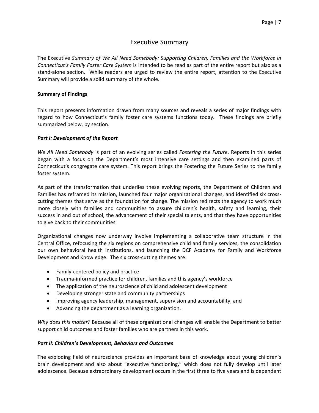### Executive Summary

The Executive *Summary of We All Need Somebody: Supporting Children, Families and the Workforce in Connecticut's Family Foster Care System* is intended to be read as part of the entire report but also as a stand‐alone section. While readers are urged to review the entire report, attention to the Executive Summary will provide a solid summary of the whole.

#### **Summary of Findings**

This report presents information drawn from many sources and reveals a series of major findings with regard to how Connecticut's family foster care systems functions today. These findings are briefly summarized below, by section.

#### *Part I: Development of the Report*

*We All Need Somebody* is part of an evolving series called *Fostering the Future*. Reports in this series began with a focus on the Department's most intensive care settings and then examined parts of Connecticut's congregate care system. This report brings the Fostering the Future Series to the family foster system.

As part of the transformation that underlies these evolving reports, the Department of Children and Families has reframed its mission, launched four major organizational changes, and identified six cross‐ cutting themes that serve as the foundation for change. The mission redirects the agency to work much more closely with families and communities to assure children's health, safety and learning, their success in and out of school, the advancement of their special talents, and that they have opportunities to give back to their communities.

Organizational changes now underway involve implementing a collaborative team structure in the Central Office, refocusing the six regions on comprehensive child and family services, the consolidation our own behavioral health institutions, and launching the DCF Academy for Family and Workforce Development and Knowledge. The six cross-cutting themes are:

- Family‐centered policy and practice
- Trauma‐informed practice for children, families and this agency's workforce
- The application of the neuroscience of child and adolescent development
- Developing stronger state and community partnerships
- Improving agency leadership, management, supervision and accountability, and
- Advancing the department as a learning organization.

*Why does this matter?* Because all of these organizational changes will enable the Department to better support child outcomes and foster families who are partners in this work.

#### *Part II: Children's Development, Behaviors and Outcomes*

The exploding field of neuroscience provides an important base of knowledge about young children's brain development and also about "executive functioning," which does not fully develop until later adolescence. Because extraordinary development occurs in the first three to five years and is dependent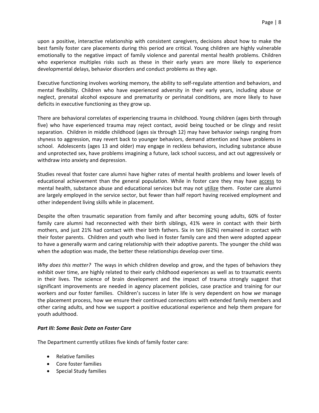upon a positive, interactive relationship with consistent caregivers, decisions about how to make the best family foster care placements during this period are critical. Young children are highly vulnerable emotionally to the negative impact of family violence and parental mental health problems. Children who experience multiples risks such as these in their early years are more likely to experience developmental delays, behavior disorders and conduct problems as they age.

Executive functioning involves working memory, the ability to self‐regulate attention and behaviors, and mental flexibility. Children who have experienced adversity in their early years, including abuse or neglect, prenatal alcohol exposure and prematurity or perinatal conditions, are more likely to have deficits in executive functioning as they grow up.

There are behavioral correlates of experiencing trauma in childhood. Young children (ages birth through five) who have experienced trauma may reject contact, avoid being touched or be clingy and resist separation. Children in middle childhood (ages six through 12) may have behavior swings ranging from shyness to aggression, may revert back to younger behaviors, demand attention and have problems in school. Adolescents (ages 13 and older) may engage in reckless behaviors, including substance abuse and unprotected sex, have problems imagining a future, lack school success, and act out aggressively or withdraw into anxiety and depression.

Studies reveal that foster care alumni have higher rates of mental health problems and lower levels of educational achievement than the general population. While in foster care they may have access to mental health, substance abuse and educational services but may not utilize them. Foster care alumni are largely employed in the service sector, but fewer than half report having received employment and other independent living skills while in placement.

Despite the often traumatic separation from family and after becoming young adults, 60% of foster family care alumni had reconnected with their birth siblings, 41% were in contact with their birth mothers, and just 21% had contact with their birth fathers. Six in ten (62%) remained in contact with their foster parents. Children and youth who lived in foster family care and then were adopted appear to have a generally warm and caring relationship with their adoptive parents. The younger the child was when the adoption was made, the better these relationships develop over time.

*Why does this matter?* The ways in which children develop and grow, and the types of behaviors they exhibit over time, are highly related to their early childhood experiences as well as to traumatic events in their lives. The science of brain development and the impact of trauma strongly suggest that significant improvements are needed in agency placement policies, case practice and training for our workers and our foster families. Children's success in later life is very dependent on how *we* manage the placement process, how we ensure their continued connections with extended family members and other caring adults, and how we support a positive educational experience and help them prepare for youth adulthood.

#### *Part III: Some Basic Data on Foster Care*

The Department currently utilizes five kinds of family foster care:

- Relative families
- Core foster families
- Special Study families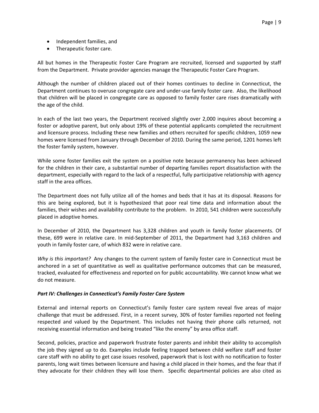- Independent families, and
- Therapeutic foster care.

All but homes in the Therapeutic Foster Care Program are recruited, licensed and supported by staff from the Department. Private provider agencies manage the Therapeutic Foster Care Program.

Although the number of children placed out of their homes continues to decline in Connecticut, the Department continues to overuse congregate care and under‐use family foster care. Also, the likelihood that children will be placed in congregate care as opposed to family foster care rises dramatically with the age of the child.

In each of the last two years, the Department received slightly over 2,000 inquires about becoming a foster or adoptive parent, but only about 19% of these potential applicants completed the recruitment and licensure process. Including these new families and others recruited for specific children, 1059 new homes were licensed from January through December of 2010. During the same period, 1201 homes left the foster family system, however.

While some foster families exit the system on a positive note because permanency has been achieved for the children in their care, a substantial number of departing families report dissatisfaction with the department, especially with regard to the lack of a respectful, fully participative relationship with agency staff in the area offices.

The Department does not fully utilize all of the homes and beds that it has at its disposal. Reasons for this are being explored, but it is hypothesized that poor real time data and information about the families, their wishes and availability contribute to the problem. In 2010, 541 children were successfully placed in adoptive homes.

In December of 2010, the Department has 3,328 children and youth in family foster placements. Of these, 699 were in relative care. In mid‐September of 2011, the Department had 3,163 children and youth in family foster care, of which 832 were in relative care.

*Why is this important?* Any changes to the current system of family foster care in Connecticut must be anchored in a set of quantitative as well as qualitative performance outcomes that can be measured, tracked, evaluated for effectiveness and reported on for public accountability. We cannot know what we do not measure.

#### *Part IV: Challenges in Connecticut's Family Foster Care System*

External and internal reports on Connecticut's family foster care system reveal five areas of major challenge that must be addressed. First, in a recent survey, 30% of foster families reported not feeling respected and valued by the Department. This includes not having their phone calls returned, not receiving essential information and being treated "like the enemy" by area office staff.

Second, policies, practice and paperwork frustrate foster parents and inhibit their ability to accomplish the job they signed up to do. Examples include feeling trapped between child welfare staff and foster care staff with no ability to get case issues resolved, paperwork that is lost with no notification to foster parents, long wait times between licensure and having a child placed in their homes, and the fear that if they advocate for their children they will lose them. Specific departmental policies are also cited as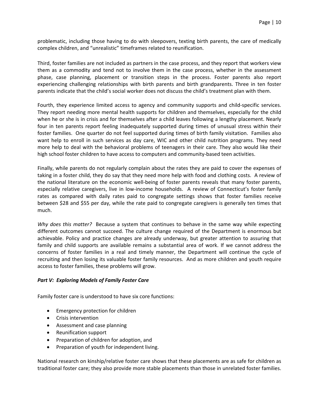problematic, including those having to do with sleepovers, texting birth parents, the care of medically complex children, and "unrealistic" timeframes related to reunification.

Third, foster families are not included as partners in the case process, and they report that workers view them as a commodity and tend not to involve them in the case process, whether in the assessment phase, case planning, placement or transition steps in the process. Foster parents also report experiencing challenging relationships with birth parents and birth grandparents. Three in ten foster parents indicate that the child's social worker does not discuss the child's treatment plan with them.

Fourth, they experience limited access to agency and community supports and child‐specific services. They report needing more mental health supports for children and themselves, especially for the child when he or she is in crisis and for themselves after a child leaves following a lengthy placement. Nearly four in ten parents report feeling inadequately supported during times of unusual stress within their foster families. One quarter do not feel supported during times of birth family visitation. Families also want help to enroll in such services as day care, WIC and other child nutrition programs. They need more help to deal with the behavioral problems of teenagers in their care. They also would like their high school foster children to have access to computers and community-based teen activities.

Finally, while parents do not regularly complain about the rates they are paid to cover the expenses of taking in a foster child, they do say that they need more help with food and clothing costs. A review of the national literature on the economic well‐being of foster parents reveals that many foster parents, especially relative caregivers, live in low-income households. A review of Connecticut's foster family rates as compared with daily rates paid to congregate settings shows that foster families receive between \$28 and \$55 per day, while the rate paid to congregate caregivers is generally ten times that much.

*Why does this matter?* Because a system that continues to behave in the same way while expecting different outcomes cannot succeed. The culture change required of the Department is enormous but achievable. Policy and practice changes are already underway, but greater attention to assuring that family and child supports are available remains a substantial area of work. If we cannot address the concerns of foster families in a real and timely manner, the Department will continue the cycle of recruiting and then losing its valuable foster family resources. And as more children and youth require access to foster families, these problems will grow.

#### *Part V: Exploring Models of Family Foster Care*

Family foster care is understood to have six core functions:

- Emergency protection for children
- Crisis intervention
- Assessment and case planning
- Reunification support
- Preparation of children for adoption, and
- Preparation of youth for independent living.

National research on kinship/relative foster care shows that these placements are as safe for children as traditional foster care; they also provide more stable placements than those in unrelated foster families.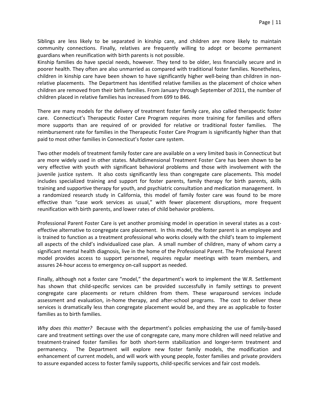Siblings are less likely to be separated in kinship care, and children are more likely to maintain community connections. Finally, relatives are frequently willing to adopt or become permanent guardians when reunification with birth parents is not possible.

Kinship families do have special needs, however. They tend to be older, less financially secure and in poorer health. They often are also unmarried as compared with traditional foster families. Nonetheless, children in kinship care have been shown to have significantly higher well‐being than children in non‐ relative placements. The Department has identified relative families as the placement of choice when children are removed from their birth families. From January through September of 2011, the number of children placed in relative families has increased from 699 to 846.

There are many models for the delivery of treatment foster family care, also called therapeutic foster care. Connecticut's Therapeutic Foster Care Program requires more training for families and offers more supports than are required of or provided for relative or traditional foster families. The reimbursement rate for families in the Therapeutic Foster Care Program is significantly higher than that paid to most other families in Connecticut's foster care system.

Two other models of treatment family foster care are available on a very limited basis in Connecticut but are more widely used in other states. Multidimensional Treatment Foster Care has been shown to be very effective with youth with significant behavioral problems and those with involvement with the juvenile justice system. It also costs significantly less than congregate care placements. This model includes specialized training and support for foster parents, family therapy for birth parents, skills training and supportive therapy for youth, and psychiatric consultation and medication management. In a randomized research study in California, this model of family foster care was found to be more effective than "case work services as usual," with fewer placement disruptions, more frequent reunification with birth parents, and lower rates of child behavior problems.

Professional Parent Foster Care is yet another promising model in operation in several states as a costeffective alternative to congregate care placement. In this model, the foster parent is an employee and is trained to function as a treatment professional who works closely with the child's team to implement all aspects of the child's individualized case plan. A small number of children, many of whom carry a significant mental health diagnosis, live in the home of the Professional Parent. The Professional Parent model provides access to support personnel, requires regular meetings with team members, and assures 24‐hour access to emergency on‐call support as needed.

Finally, although not a foster care "model," the department's work to implement the W.R. Settlement has shown that child-specific services can be provided successfully in family settings to prevent congregate care placements or return children from them. These wraparound services include assessment and evaluation, in‐home therapy, and after‐school programs. The cost to deliver these services is dramatically less than congregate placement would be, and they are as applicable to foster families as to birth families.

*Why does this matter?* Because with the department's policies emphasizing the use of family‐based care and treatment settings over the use of congregate care, many more children will need relative and treatment‐trained foster families for both short‐term stabilization and longer‐term treatment and permanency. The Department will explore new foster family models, the modification and enhancement of current models, and will work with young people, foster families and private providers to assure expanded access to foster family supports, child‐specific services and fair cost models.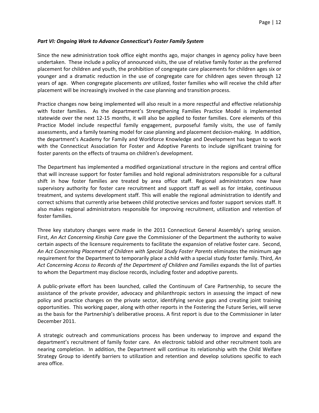#### *Part VI: Ongoing Work to Advance Connecticut's Foster Family System*

Since the new administration took office eight months ago, major changes in agency policy have been undertaken. These include a policy of announced visits, the use of relative family foster as the preferred placement for children and youth, the prohibition of congregate care placements for children ages six or younger and a dramatic reduction in the use of congregate care for children ages seven through 12 years of age. When congregate placements *are* utilized, foster families who will receive the child after placement will be increasingly involved in the case planning and transition process.

Practice changes now being implemented will also result in a more respectful and effective relationship with foster families. As the department's Strengthening Families Practice Model is implemented statewide over the next 12‐15 months, it will also be applied to foster families. Core elements of this Practice Model include respectful family engagement, purposeful family visits, the use of family assessments, and a family teaming model for case planning and placement decision‐making. In addition, the department's Academy for Family and Workforce Knowledge and Development has begun to work with the Connecticut Association for Foster and Adoptive Parents to include significant training for foster parents on the effects of trauma on children's development.

The Department has implemented a modified organizational structure in the regions and central office that will increase support for foster families and hold regional administrators responsible for a cultural shift in how foster families are treated by area office staff. Regional administrators now have supervisory authority for foster care recruitment and support staff as well as for intake, continuous treatment, and systems development staff. This will enable the regional administration to identify and correct schisms that currently arise between child protective services and foster support services staff. It also makes regional administrators responsible for improving recruitment, utilization and retention of foster families.

Three key statutory changes were made in the 2011 Connecticut General Assembly's spring session. First, *An Act Concerning Kinship Care* gave the Commissioner of the Department the authority to waive certain aspects of the licensure requirements to facilitate the expansion of relative foster care. Second, *An Act Concerning Placement of Children with Special Study Foster Parents* eliminates the minimum age requirement for the Department to temporarily place a child with a special study foster family. Third, *An Act Concerning Access to Records of the Department of Children and Families* expands the list of parties to whom the Department may disclose records, including foster and adoptive parents.

A public‐private effort has been launched, called the Continuum of Care Partnership, to secure the assistance of the private provider, advocacy and philanthropic sectors in assessing the impact of new policy and practice changes on the private sector, identifying service gaps and creating joint training opportunities. This working paper, along with other reports in the Fostering the Future Series, will serve as the basis for the Partnership's deliberative process. A first report is due to the Commissioner in later December 2011.

A strategic outreach and communications process has been underway to improve and expand the department's recruitment of family foster care. An electronic tabloid and other recruitment tools are nearing completion. In addition, the Department will continue its relationship with the Child Welfare Strategy Group to identify barriers to utilization and retention and develop solutions specific to each area office.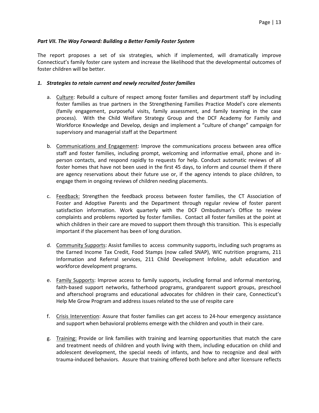#### *Part VII. The Way Forward: Building a Better Family Foster System*

The report proposes a set of six strategies, which if implemented, will dramatically improve Connecticut's family foster care system and increase the likelihood that the developmental outcomes of foster children will be better.

#### *1. Strategies to retain current and newly recruited foster families*

- a. Culture: Rebuild a culture of respect among foster families and department staff by including foster families as true partners in the Strengthening Families Practice Model's core elements (family engagement, purposeful visits, family assessment, and family teaming in the case process). With the Child Welfare Strategy Group and the DCF Academy for Family and Workforce Knowledge and Develop, design and implement a "culture of change" campaign for supervisory and managerial staff at the Department
- b. Communications and Engagement: Improve the communications process between area office staff and foster families, including prompt, welcoming and informative email, phone and in‐ person contacts, and respond rapidly to requests for help. Conduct automatic reviews of all foster homes that have not been used in the first 45 days, to inform and counsel them if there are agency reservations about their future use or, if the agency intends to place children, to engage them in ongoing reviews of children needing placements.
- c. Feedback: Strengthen the feedback process between foster families, the CT Association of Foster and Adoptive Parents and the Department through regular review of foster parent satisfaction information. Work quarterly with the DCF Ombudsman's Office to review complaints and problems reported by foster families. Contact all foster families at the point at which children in their care are moved to support them through this transition. This is especially important if the placement has been of long duration.
- d. Community Supports: Assist families to access community supports, including such programs as the Earned Income Tax Credit, Food Stamps (now called SNAP), WIC nutrition programs, 211 Information and Referral services, 211 Child Development Infoline, adult education and workforce development programs.
- e. Family Supports: Improve access to family supports, including formal and informal mentoring, faith-based support networks, fatherhood programs, grandparent support groups, preschool and afterschool programs and educational advocates for children in their care, Connecticut's Help Me Grow Program and address issues related to the use of respite care
- f. Crisis Intervention: Assure that foster families can get access to 24‐hour emergency assistance and support when behavioral problems emerge with the children and youth in their care.
- g. Training: Provide or link families with training and learning opportunities that match the care and treatment needs of children and youth living with them, including education on child and adolescent development, the special needs of infants, and how to recognize and deal with trauma‐induced behaviors. Assure that training offered both before and after licensure reflects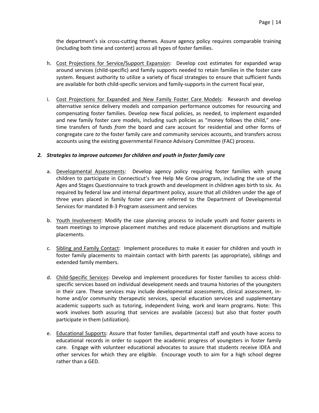the department's six cross‐cutting themes. Assure agency policy requires comparable training (including both time and content) across all types of foster families.

- h. Cost Projections for Service/Support Expansion: Develop cost estimates for expanded wrap around services (child‐specific) and family supports needed to retain families in the foster care system. Request authority to utilize a variety of fiscal strategies to ensure that sufficient funds are available for both child‐specific services and family‐supports in the current fiscal year,
- i. Cost Projections for Expanded and New Family Foster Care Models: Research and develop alternative service delivery models and companion performance outcomes for resourcing and compensating foster families. Develop new fiscal policies, as needed, to implement expanded and new family foster care models, including such policies as "money follows the child," onetime transfers of funds *from* the board and care account for residential and other forms of congregate care *to* the foster family care and community services accounts, and transfers across accounts using the existing governmental Finance Advisory Committee (FAC) process.

#### *2. Strategies to improve outcomes for children and youth in foster family care*

- a. Developmental Assessments: Develop agency policy requiring foster families with young children to participate in Connecticut's free Help Me Grow program, including the use of the Ages and Stages Questionnaire to track growth and development in children ages birth to six. As required by federal law and internal department policy, assure that all children under the age of three years placed in family foster care are referred to the Department of Developmental Services for mandated B‐3 Program assessment and services
- b. Youth Involvement: Modify the case planning process to include youth and foster parents in team meetings to improve placement matches and reduce placement disruptions and multiple placements.
- c. Sibling and Family Contact: Implement procedures to make it easier for children and youth in foster family placements to maintain contact with birth parents (as appropriate), siblings and extended family members.
- d. Child‐Specific Services: Develop and implement procedures for foster families to access child‐ specific services based on individual development needs and trauma histories of the youngsters in their care. These services may include developmental assessments, clinical assessment, in‐ home and/or community therapeutic services, special education services and supplementary academic supports such as tutoring, independent living, work and learn programs. Note: This work involves both assuring that services are available (access) but also that foster youth participate in them (utilization).
- e. Educational Supports: Assure that foster families, departmental staff and youth have access to educational records in order to support the academic progress of youngsters in foster family care. Engage with volunteer educational advocates to assure that students receive IDEA and other services for which they are eligible. Encourage youth to aim for a high school degree rather than a GED.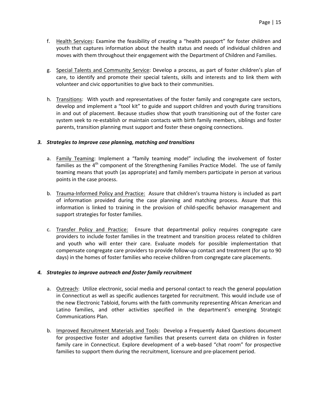- f. Health Services: Examine the feasibility of creating a "health passport" for foster children and youth that captures information about the health status and needs of individual children and moves with them throughout their engagement with the Department of Children and Families.
- g. Special Talents and Community Service: Develop a process, as part of foster children's plan of care, to identify and promote their special talents, skills and interests and to link them with volunteer and civic opportunities to give back to their communities.
- h. Transitions: With youth and representatives of the foster family and congregate care sectors, develop and implement a "tool kit" to guide and support children and youth during transitions in and out of placement. Because studies show that youth transitioning out of the foster care system seek to re-establish or maintain contacts with birth family members, siblings and foster parents, transition planning must support and foster these ongoing connections.

#### *3. Strategies to Improve case planning, matching and transitions*

- a. Family Teaming: Implement a "family teaming model" including the involvement of foster families as the  $4<sup>th</sup>$  component of the Strengthening Families Practice Model. The use of family teaming means that youth (as appropriate) and family members participate in person at various points in the case process.
- b. Trauma‐Informed Policy and Practice: Assure that children's trauma history is included as part of information provided during the case planning and matching process. Assure that this information is linked to training in the provision of child‐specific behavior management and support strategies for foster families.
- c. Transfer Policy and Practice: Ensure that departmental policy requires congregate care providers to include foster families in the treatment and transition process related to children and youth who will enter their care. Evaluate models for possible implementation that compensate congregate care providers to provide follow‐up contact and treatment (for up to 90 days) in the homes of foster families who receive children from congregate care placements.

#### *4. Strategies to improve outreach and foster family recruitment*

- a. **Outreach:** Utilize electronic, social media and personal contact to reach the general population in Connecticut as well as specific audiences targeted for recruitment. This would include use of the new Electronic Tabloid, forums with the faith community representing African American and Latino families, and other activities specified in the department's emerging Strategic Communications Plan.
- b. Improved Recruitment Materials and Tools: Develop a Frequently Asked Questions document for prospective foster and adoptive families that presents current data on children in foster family care in Connecticut. Explore development of a web-based "chat room" for prospective families to support them during the recruitment, licensure and pre‐placement period.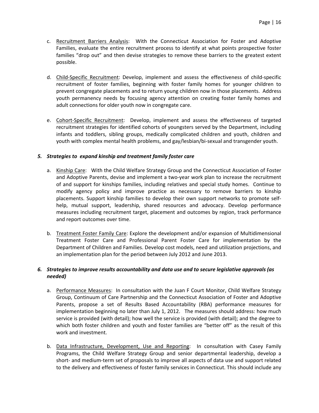- c. Recruitment Barriers Analysis: With the Connecticut Association for Foster and Adoptive Families, evaluate the entire recruitment process to identify at what points prospective foster families "drop out" and then devise strategies to remove these barriers to the greatest extent possible.
- d. Child‐Specific Recruitment: Develop, implement and assess the effectiveness of child‐specific recruitment of foster families, beginning with foster family homes for younger children to prevent congregate placements and to return young children now in those placements. Address youth permanency needs by focusing agency attention on creating foster family homes and adult connections for older youth now in congregate care.
- e. Cohort-Specific Recruitment: Develop, implement and assess the effectiveness of targeted recruitment strategies for identified cohorts of youngsters served by the Department, including infants and toddlers, sibling groups, medically complicated children and youth, children and youth with complex mental health problems, and gay/lesbian/bi‐sexual and transgender youth.

#### *5. Strategies to expand kinship and treatment family foster care*

- a. Kinship Care: With the Child Welfare Strategy Group and the Connecticut Association of Foster and Adoptive Parents, devise and implement a two-year work plan to increase the recruitment of and support for kinships families, including relatives and special study homes. Continue to modify agency policy and improve practice as necessary to remove barriers to kinship placements. Support kinship families to develop their own support networks to promote self‐ help, mutual support, leadership, shared resources and advocacy. Develop performance measures including recruitment target, placement and outcomes by region, track performance and report outcomes over time.
- b. Treatment Foster Family Care: Explore the development and/or expansion of Multidimensional Treatment Foster Care and Professional Parent Foster Care for implementation by the Department of Children and Families. Develop cost models, need and utilization projections, and an implementation plan for the period between July 2012 and June 2013.

#### *6. Strategies to improve results accountability and data use and to secure legislative approvals (as needed)*

- a. Performance Measures: In consultation with the Juan F Court Monitor, Child Welfare Strategy Group, Continuum of Care Partnership and the Connecticut Association of Foster and Adoptive Parents, propose a set of Results Based Accountability (RBA) performance measures for implementation beginning no later than July 1, 2012. The measures should address: how much service is provided (with detail); how well the service is provided (with detail); and the degree to which both foster children and youth and foster families are "better off" as the result of this work and investment.
- b. Data Infrastructure, Development, Use and Reporting: In consultation with Casey Family Programs, the Child Welfare Strategy Group and senior departmental leadership, develop a short- and medium-term set of proposals to improve all aspects of data use and support related to the delivery and effectiveness of foster family services in Connecticut. This should include any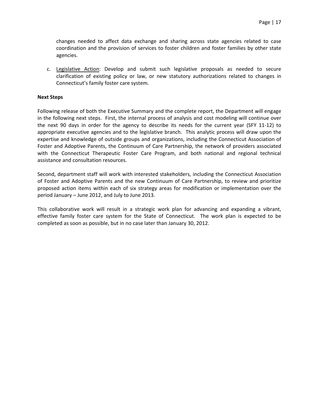changes needed to affect data exchange and sharing across state agencies related to case coordination and the provision of services to foster children and foster families by other state agencies.

c. Legislative Action: Develop and submit such legislative proposals as needed to secure clarification of existing policy or law, or new statutory authorizations related to changes in Connecticut's family foster care system.

#### **Next Steps**

Following release of both the Executive Summary and the complete report, the Department will engage in the following next steps. First, the internal process of analysis and cost modeling will continue over the next 90 days in order for the agency to describe its needs for the current year (SFY 11‐12) to appropriate executive agencies and to the legislative branch. This analytic process will draw upon the expertise and knowledge of outside groups and organizations, including the Connecticut Association of Foster and Adoptive Parents, the Continuum of Care Partnership, the network of providers associated with the Connecticut Therapeutic Foster Care Program, and both national and regional technical assistance and consultation resources.

Second, department staff will work with interested stakeholders, including the Connecticut Association of Foster and Adoptive Parents and the new Continuum of Care Partnership, to review and prioritize proposed action items within each of six strategy areas for modification or implementation over the period January – June 2012, and July to June 2013.

This collaborative work will result in a strategic work plan for advancing and expanding a vibrant, effective family foster care system for the State of Connecticut. The work plan is expected to be completed as soon as possible, but in no case later than January 30, 2012.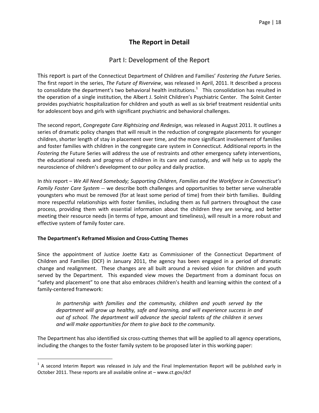## **The Report in Detail**

## Part I: Development of the Report

This report is part of the Connecticut Department of Children and Families' *Fostering the Future* Series. The first report in the series, *The Future of Riverview*, was released in April, 2011. It described a process to consolidate the department's two behavioral health institutions.<sup>1</sup> This consolidation has resulted in the operation of a single institution, the Albert J. Solnit Children's Psychiatric Center. The Solnit Center provides psychiatric hospitalization for children and youth as well as six brief treatment residential units for adolescent boys and girls with significant psychiatric and behavioral challenges.

The second report, *Congregate Care Rightsizing and Redesign*, was released in August 2011. It outlines a series of dramatic policy changes that will result in the reduction of congregate placements for younger children, shorter length of stay in placement over time, and the more significant involvement of families and foster families with children in the congregate care system in Connecticut. Additional reports in the *Fostering the* Future Series will address the use of restraints and other emergency safety interventions, the educational needs and progress of children in its care and custody, and will help us to apply the neuroscience of children's development to our policy and daily practice.

In *this* report – *We All Need Somebody; Supporting Children, Families and the Workforce in Connecticut's Family Foster Care System* ‐‐ we describe both challenges and opportunities to better serve vulnerable youngsters who must be removed (for at least some period of time) from their birth families. Building more respectful relationships with foster families, including them as full partners throughout the case process, providing them with essential information about the children they are serving, and better meeting their resource needs (in terms of type, amount and timeliness), will result in a more robust and effective system of family foster care.

#### **The Department's Reframed Mission and Cross‐Cutting Themes**

Since the appointment of Justice Joette Katz as Commissioner of the Connecticut Department of Children and Families (DCF) in January 2011, the agency has been engaged in a period of dramatic change and realignment. These changes are all built around a revised vision for children and youth served by the Department. This expanded view moves the Department from a dominant focus on "safety and placement" to one that also embraces children's health and learning within the context of a family‐centered framework:

*In partnership with families and the community, children and youth served by the department will grow up healthy, safe and learning, and will experience success in and out of school. The department will advance the special talents of the children it serves and will make opportunities for them to give back to the community.* 

The Department has also identified six cross-cutting themes that will be applied to all agency operations, including the changes to the foster family system to be proposed later in this working paper:

 $<sup>1</sup>$  A second Interim Report was released in July and the Final Implementation Report will be published early in</sup> October 2011. These reports are all available online at – www.ct.gov/dcf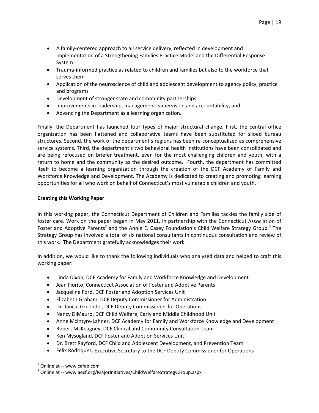- A family-centered approach to all service delivery, reflected in development and implementation of a Strengthening Families Practice Model and the Differential Response System
- Trauma‐informed practice as related to children and families but also to the workforce that serves them
- Application of the neuroscience of child and adolescent development to agency policy, practice and programs
- Development of stronger state and community partnerships
- Improvements in leadership, management, supervision and accountability, and
- Advancing the Department as a learning organization.

Finally, the Department has launched four types of major structural change. First, the central office organization has been flattened and collaborative teams have been substituted for siloed bureau structures. Second, the work of the department's regions has been re‐conceptualized as comprehensive service systems. Third, the department's two behavioral health institutions have been consolidated and are being refocused on briefer treatment, even for the most challenging children and youth, with a return to home and the community as the desired outcome. Fourth, the department has committed itself to become a learning organization through the creation of the DCF Academy of Family and Workforce Knowledge and Development. The Academy is dedicated to creating and promoting learning opportunities for all who work on behalf of Connecticut's most vulnerable children and youth.

#### **Creating this Working Paper**

In this working paper, the Connecticut Department of Children and Families tackles the family side of foster care. Work on the paper began in May 2011, in partnership with the Connecticut Association of Foster and Adoptive Parents<sup>2</sup> and the Annie E. Casey Foundation's Child Welfare Strategy Group.<sup>3</sup> The Strategy Group has involved a total of six national consultants in continuous consultation and review of this work. The Department gratefully acknowledges their work.

In addition, we would like to thank the following individuals who analyzed data and helped to craft this working paper:

- Linda Dixon, DCF Academy for Family and Workforce Knowledge and Development
- Jean Fiorito, Connecticut Association of Foster and Adoptive Parents
- Jacqueline Ford, DCF Foster and Adoption Services Unit
- Elizabeth Graham, DCF Deputy Commissioner for Administration
- Dr. Janice Gruendel, DCF Deputy Commissioner for Operations
- Nancy DiMauro, DCF Child Welfare, Early and Middle Childhood Unit
- Anne McIntyre‐Lahner, DCF Academy for Family and Workforce Knowledge and Development
- Robert McKeagney, DCF Clinical and Community Consultation Team
- Ken Mysogland, DCF Foster and Adoption Services Unit
- Dr. Brett Rayford, DCF Child and Adolescent Development, and Prevention Team
- Felix Rodriquez, Executive Secretary to the DCF Deputy Commissioner for Operations

<sup>&</sup>lt;sup>2</sup> Online at -- www.cafap.com<br><sup>3</sup> Online at -- www.aecf.org/MajorInitiatives/ChildWelfareStrategyGroup.aspx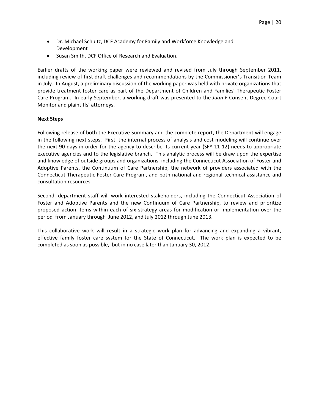- Dr. Michael Schultz, DCF Academy for Family and Workforce Knowledge and Development
- Susan Smith, DCF Office of Research and Evaluation.

Earlier drafts of the working paper were reviewed and revised from July through September 2011, including review of first draft challenges and recommendations by the Commissioner's Transition Team in July. In August, a preliminary discussion of the working paper was held with private organizations that provide treatment foster care as part of the Department of Children and Families' Therapeutic Foster Care Program. In early September, a working draft was presented to the *Juan F* Consent Degree Court Monitor and plaintiffs' attorneys.

#### **Next Steps**

Following release of both the Executive Summary and the complete report, the Department will engage in the following next steps. First, the internal process of analysis and cost modeling will continue over the next 90 days in order for the agency to describe its current year (SFY 11‐12) needs to appropriate executive agencies and to the legislative branch. This analytic process will be draw upon the expertise and knowledge of outside groups and organizations, including the Connecticut Association of Foster and Adoptive Parents, the Continuum of Care Partnership, the network of providers associated with the Connecticut Therapeutic Foster Care Program, and both national and regional technical assistance and consultation resources.

Second, department staff will work interested stakeholders, including the Connecticut Association of Foster and Adoptive Parents and the new Continuum of Care Partnership, to review and prioritize proposed action items within each of six strategy areas for modification or implementation over the period from January through June 2012, and July 2012 through June 2013.

This collaborative work will result in a strategic work plan for advancing and expanding a vibrant, effective family foster care system for the State of Connecticut. The work plan is expected to be completed as soon as possible, but in no case later than January 30, 2012.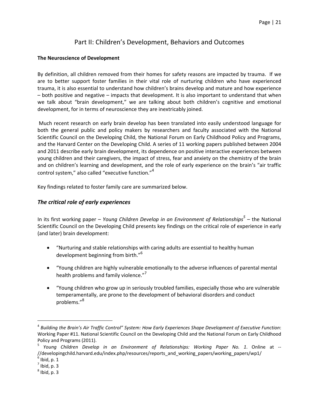## Part II: Children's Development, Behaviors and Outcomes

#### **The Neuroscience of Development**

By definition, all children removed from their homes for safety reasons are impacted by trauma. If we are to better support foster families in their vital role of nurturing children who have experienced trauma, it is also essential to understand how children's brains develop and mature and how experience – both positive and negative – impacts that development. It is also important to understand that when we talk about "brain development," we are talking about both children's cognitive and emotional development, for in terms of neuroscience they are inextricably joined.

Much recent research on early brain develop has been translated into easily understood language for both the general public and policy makers by researchers and faculty associated with the National Scientific Council on the Developing Child, the National Forum on Early Childhood Policy and Programs, and the Harvard Center on the Developing Child. A series of 11 working papers published between 2004 and 2011 describe early brain development, its dependence on positive interactive experiences between young children and their caregivers, the impact of stress, fear and anxiety on the chemistry of the brain and on children's learning and development, and the role of early experience on the brain's "air traffic control system," also called "executive function." $4$ 

Key findings related to foster family care are summarized below.

#### *The critical role of early experiences*

In its first working paper – *Young Children Develop in an Environment of Relationships<sup>5</sup>* – the National Scientific Council on the Developing Child presents key findings on the critical role of experience in early (and later) brain development:

- "Nurturing and stable relationships with caring adults are essential to healthy human development beginning from birth."<sup>6</sup>
- "Young children are highly vulnerable emotionally to the adverse influences of parental mental health problems and family violence."<sup>7</sup>
- "Young children who grow up in seriously troubled families, especially those who are vulnerable temperamentally, are prone to the development of behavioral disorders and conduct problems."<sup>8</sup>

<sup>4</sup> *Building the Brain's Air Traffic Control" System: How Early Experiences Shape Development of Executive Function*: Working Paper #11. National Scientific Council on the Developing Child and the National Forum on Early Childhood Policy and Programs (2011). <sup>5</sup> *Young Children Develop in an Environment of Relationships: Working Paper No. <sup>1</sup>*. Online at ‐‐

<sup>//</sup>developingchild.harvard.edu/index.php/resources/reports\_and\_working\_papers/working\_papers/wp1/<br>  $\frac{6}{\text{1}}$  Ibid, p. 1<br>  $\frac{7}{\text{1}}$  Ibid, p. 3<br>  $\frac{8}{\text{1}}$  Ibid, p. 3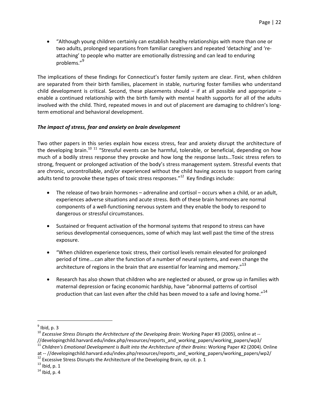• "Although young children certainly can establish healthy relationships with more than one or two adults, prolonged separations from familiar caregivers and repeated 'detaching' and 're‐ attaching' to people who matter are emotionally distressing and can lead to enduring problems."<sup>9</sup>

The implications of these findings for Connecticut's foster family system are clear. First, when children are separated from their birth families, placement in stable, nurturing foster families who understand child development is critical. Second, these placements should – if at all possible and appropriate – enable a continued relationship with the birth family with mental health supports for all of the adults involved with the child. Third, repeated moves in and out of placement are damaging to children's long‐ term emotional and behavioral development.

#### *The impact of stress, fear and anxiety on brain development*

Two other papers in this series explain how excess stress, fear and anxiety disrupt the architecture of the developing brain.<sup>10 11</sup> "Stressful events can be harmful, tolerable, or beneficial, depending on how much of a bodily stress response they provoke and how long the response lasts…Toxic stress refers to strong, frequent or prolonged activation of the body's stress management system. Stressful events that are chronic, uncontrollable, and/or experienced without the child having access to support from caring adults tend to provoke these types of toxic stress responses. $12$  Key findings include:

- The release of two brain hormones adrenaline and cortisol occurs when a child, or an adult, experiences adverse situations and acute stress. Both of these brain hormones are normal components of a well‐functioning nervous system and they enable the body to respond to dangerous or stressful circumstances.
- Sustained or frequent activation of the hormonal systems that respond to stress can have serious developmental consequences, some of which may last well past the time of the stress exposure.
- "When children experience toxic stress, their cortisol levels remain elevated for prolonged period of time….can alter the function of a number of neural systems, and even change the architecture of regions in the brain that are essential for learning and memory." $^{13}$
- Research has also shown that children who are neglected or abused, or grow up in families with maternal depression or facing economic hardship, have "abnormal patterns of cortisol production that can last even after the child has been moved to a safe and loving home."<sup>14</sup>

<sup>9</sup> Ibid, p. <sup>3</sup> <sup>10</sup> *Excessive Stress Disrupts the Architecture of the Developing Brain*: Working Paper #3 (2005), online at ‐‐ //developingchild.harvard.edu/index.php/resources/reports\_and\_working\_papers/working\_papers/wp3/<br><sup>11</sup> Children's Emotional Development is Built into the Architecture of their Brains: Working Paper #2 (2004). Online

at –– //developingchild.harvard.edu/index.php/resources/reports\_and\_working\_papers/working\_papers/wp2/<br><sup>12</sup> Excessive Stress Disrupts the Architecture of the Developing Brain, op cit. p. 1<br><sup>13</sup> Ibid, p. 1<br><sup>14</sup> Ibid. p. 4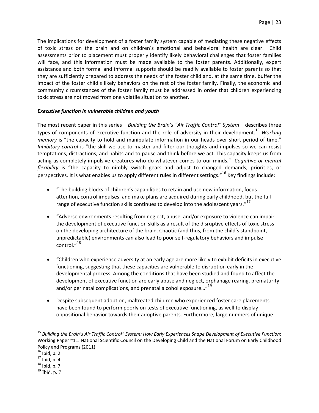The implications for development of a foster family system capable of mediating these negative effects of toxic stress on the brain and on children's emotional and behavioral health are clear. Child assessments prior to placement must properly identify likely behavioral challenges that foster families will face, and this information must be made available to the foster parents. Additionally, expert assistance and both formal and informal supports should be readily available to foster parents so that they are sufficiently prepared to address the needs of the foster child and, at the same time, buffer the impact of the foster child's likely behaviors on the rest of the foster family. Finally, the economic and community circumstances of the foster family must be addressed in order that children experiencing toxic stress are not moved from one volatile situation to another.

#### *Executive function in vulnerable children and youth*

The most recent paper in this series – *Building the Brain's "Air Traffic Control" System* – describes three types of components of executive function and the role of adversity in their development.15 *Working memory* is "the capacity to hold and manipulate information in our heads over short period of time." *Inhibitory control* is "the skill we use to master and filter our thoughts and impulses so we can resist temptations, distractions, and habits and to pause and think before we act. This capacity keeps us from acting as completely impulsive creatures who do whatever comes to our minds." *Cognitive or mental flexibility* is "the capacity to nimbly switch gears and adjust to changed demands, priorities, or perspectives. It is what enables us to apply different rules in different settings."<sup>16</sup> Key findings include:

- "The building blocks of children's capabilities to retain and use new information, focus attention, control impulses, and make plans are acquired during early childhood, but the full range of executive function skills continues to develop into the adolescent years."<sup>17</sup>
- "Adverse environments resulting from neglect, abuse, and/or exposure to violence can impair the development of executive function skills as a result of the disruptive effects of toxic stress on the developing architecture of the brain. Chaotic (and thus, from the child's standpoint, unpredictable) environments can also lead to poor self‐regulatory behaviors and impulse control."<sup>18</sup>
- "Children who experience adversity at an early age are more likely to exhibit deficits in executive functioning, suggesting that these capacities are vulnerable to disruption early in the developmental process. Among the conditions that have been studied and found to affect the development of executive function are early abuse and neglect, orphanage rearing, prematurity and/or perinatal complications, and prenatal alcohol exposure..."<sup>19</sup>
- Despite subsequent adoption, maltreated children who experienced foster care placements have been found to perform poorly on tests of executive functioning, as well to display oppositional behavior towards their adoptive parents. Furthermore, large numbers of unique

<sup>15</sup> *Building the Brain's Air Traffic Control" System: How Early Experiences Shape Development of Executive Function*: Working Paper #11. National Scientific Council on the Developing Child and the National Forum on Early Childhood Policy and Programs (2011)<br><sup>16</sup> Ibid, p. 2<br><sup>17</sup> Ibid, p. 4<br><sup>18</sup> Ibid, p. 7<br><sup>19</sup> Ibid. p. 7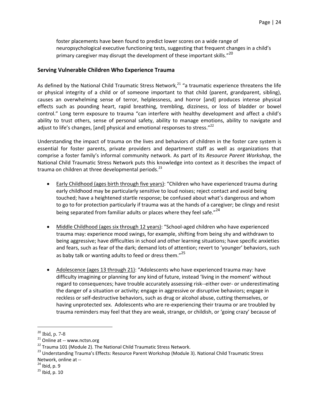foster placements have been found to predict lower scores on a wide range of neuropsychological executive functioning tests, suggesting that frequent changes in a child's primary caregiver may disrupt the development of these important skills."<sup>20</sup>

#### **Serving Vulnerable Children Who Experience Trauma**

As defined by the National Child Traumatic Stress Network,<sup>21</sup> "a traumatic experience threatens the life or physical integrity of a child or of someone important to that child (parent, grandparent, sibling), causes an overwhelming sense of terror, helplessness, and horror [and] produces intense physical effects such as pounding heart, rapid breathing, trembling, dizziness, or loss of bladder or bowel control." Long term exposure to trauma "can interfere with healthy development and affect a child's ability to trust others, sense of personal safety, ability to manage emotions, ability to navigate and adjust to life's changes, [and] physical and emotional responses to stress." $^{22}$ 

Understanding the impact of trauma on the lives and behaviors of children in the foster care system is essential for foster parents, private providers and department staff as well as organizations that comprise a foster family's informal community network. As part of its *Resource Parent Workshop*, the National Child Traumatic Stress Network puts this knowledge into context as it describes the impact of trauma on children at three developmental periods.<sup>23</sup>

- Early Childhood (ages birth through five years): "Children who have experienced trauma during early childhood may be particularly sensitive to loud noises; reject contact and avoid being touched; have a heightened startle response; be confused about what's dangerous and whom to go to for protection particularly if trauma was at the hands of a caregiver; be clingy and resist being separated from familiar adults or places where they feel safe."<sup>24</sup>
- Middle Childhood (ages six through 12 years): "School‐aged children who have experienced trauma may: experience mood swings, for example, shifting from being shy and withdrawn to being aggressive; have difficulties in school and other learning situations; have specific anxieties and fears, such as fear of the dark; demand lots of attention; revert to 'younger' behaviors, such as baby talk or wanting adults to feed or dress them."<sup>25</sup>
- Adolescence (ages 13 through 21): "Adolescents who have experienced trauma may: have difficulty imagining or planning for any kind of future, instead 'living in the moment' without regard to consequences; have trouble accurately assessing risk‐‐either over‐ or underestimating the danger of a situation or activity; engage in aggressive or disruptive behaviors; engage in reckless or self‐destructive behaviors, such as drug or alcohol abuse, cutting themselves, or having unprotected sex. Adolescents who are re-experiencing their trauma or are troubled by trauma reminders may feel that they are weak, strange, or childish, or 'going crazy' because of

 $^{20}$  Ibid, p. 7-8<br> $^{21}$  Online at -- www.nctsn.org

<sup>&</sup>lt;sup>22</sup> Trauma 101 (Module 2). The National Child Traumatic Stress Network.  $23$  Understanding Traumatic Stress Network.  $23$  Understanding Traumatic Stress Resource Parent Workshop (Module 3). National Child Traumatic S Network, online at  $-$ <sup>24</sup> Ibid, p. 9<br><sup>25</sup> Ibid, p. 10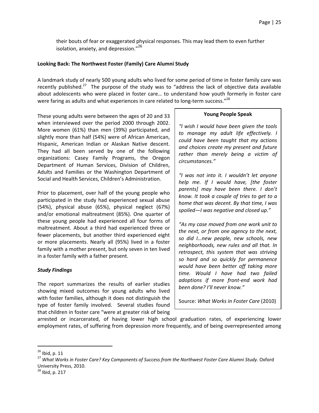their bouts of fear or exaggerated physical responses. This may lead them to even further isolation, anxiety, and depression."<sup>26</sup>

#### **Looking Back: The Northwest Foster (Family) Care Alumni Study**

A landmark study of nearly 500 young adults who lived for some period of time in foster family care was recently published.<sup>27</sup> The purpose of the study was to "address the lack of objective data available about adolescents who were placed in foster care… to understand how youth formerly in foster care were faring as adults and what experiences in care related to long-term success."<sup>28</sup>

These young adults were between the ages of 20 and 33 when interviewed over the period 2000 through 2002. More women (61%) than men (39%) participated, and slightly more than half (54%) were of African American, Hispanic, American Indian or Alaskan Native descent. They had all been served by one of the following organizations: Casey Family Programs, the Oregon Department of Human Services, Division of Children, Adults and Families or the Washington Department of Social and Health Services, Children's Administration.

Prior to placement, over half of the young people who participated in the study had experienced sexual abuse (54%), physical abuse (65%), physical neglect (67%) and/or emotional maltreatment (85%). One quarter of these young people had experienced all four forms of maltreatment. About a third had experienced three or fewer placements, but another third experienced eight or more placements. Nearly all (95%) lived in a foster family with a mother present, but only seven in ten lived in a foster family with a father present.

#### *Study Findings*

The report summarizes the results of earlier studies showing mixed outcomes for young adults who lived with foster families, although it does not distinguish the type of foster family involved. Several studies found that children in foster care "were at greater risk of being

#### **Young People Speak**

*"I wish I would have been given the tools to manage my adult life effectively. I could have been taught that my actions and choices create my present and future rather than merely being a victim of circumstances."*

*"I was not into it. I wouldn't let anyone help me. If I would have, [the foster parents] may have been there. I don't know. It took a couple of tries to get to a home that was decent. By that time, I was spoiled—I was negative and closed up."*

*"As my case moved from one work unit to the next, or from one agency to the next, so did I…new people, new schools, new neighborhoods, new rules and all that. In retrospect, this system that was striving so hard and so quickly for permanence would have been better off taking more time. Would I have had two failed adoptions if more front‐end work had been done? I'll never know."*

Source: *What Works in Foster Care* (2010)

arrested or incarcerated, of having lower high school graduation rates, of experiencing lower employment rates, of suffering from depression more frequently, and of being overrepresented among

<sup>&</sup>lt;sup>26</sup> Ibid, p. 11<br><sup>27</sup> What Works in Foster Care? Key Components of Success from the Northwest Foster Care Alumni Study. Oxford University Press, 2010.<br><sup>28</sup> Ibid, p. 217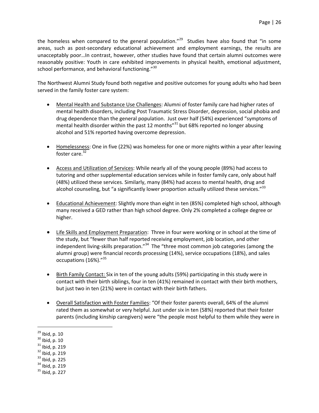the homeless when compared to the general population."<sup>29</sup> Studies have also found that "in some areas, such as post-secondary educational achievement and employment earnings, the results are unacceptably poor…In contrast, however, other studies have found that certain alumni outcomes were reasonably positive: Youth in care exhibited improvements in physical health, emotional adjustment, school performance, and behavioral functioning."<sup>30</sup>

The Northwest Alumni Study found both negative and positive outcomes for young adults who had been served in the family foster care system:

- Mental Health and Substance Use Challenges: Alumni of foster family care had higher rates of mental health disorders, including Post Traumatic Stress Disorder, depression, social phobia and drug dependence than the general population. Just over half (54%) experienced "symptoms of mental health disorder within the past 12 months" $31$  but 68% reported no longer abusing alcohol and 51% reported having overcome depression.
- Homelessness: One in five (22%) was homeless for one or more nights within a year after leaving foster care.<sup>32</sup>
- Access and Utilization of Services: While nearly all of the young people (89%) had access to tutoring and other supplemental education services while in foster family care, only about half (48%) utilized these services. Similarly, many (84%) had access to mental health, drug and alcohol counseling, but "a significantly lower proportion actually utilized these services."<sup>33</sup>
- Educational Achievement: Slightly more than eight in ten (85%) completed high school, although many received a GED rather than high school degree. Only 2% completed a college degree or higher.
- Life Skills and Employment Preparation: Three in four were working or in school at the time of the study, but "fewer than half reported receiving employment, job location, and other independent living-skills preparation."<sup>34</sup> The "three most common job categories (among the alumni group) were financial records processing (14%), service occupations (18%), and sales occupations (16%)."<sup>35</sup>
- Birth Family Contact: Six in ten of the young adults (59%) participating in this study were in contact with their birth siblings, four in ten (41%) remained in contact with their birth mothers, but just two in ten (21%) were in contact with their birth fathers.
- Overall Satisfaction with Foster Families: "Of their foster parents overall, 64% of the alumni rated them as somewhat or very helpful. Just under six in ten (58%) reported that their foster parents (including kinship caregivers) were "the people most helpful to them while they were in

<sup>&</sup>lt;sup>29</sup> Ibid, p. 10<br><sup>30</sup> Ibid, p. 10<br><sup>31</sup> Ibid, p. 219<br><sup>32</sup> Ibid, p. 225<br><sup>34</sup> Ibid, p. 219<br><sup>35</sup> Ibid, p. 227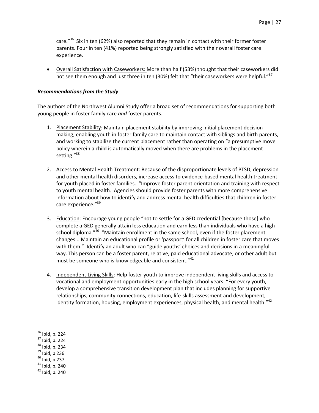care."<sup>36</sup> Six in ten (62%) also reported that they remain in contact with their former foster parents. Four in ten (41%) reported being strongly satisfied with their overall foster care experience.

• Overall Satisfaction with Caseworkers: More than half (53%) thought that their caseworkers did not see them enough and just three in ten (30%) felt that "their caseworkers were helpful."<sup>37</sup>

#### *Recommendations from the Study*

The authors of the Northwest Alumni Study offer a broad set of recommendations for supporting both young people in foster family care *and* foster parents.

- 1. Placement Stability: Maintain placement stability by improving initial placement decision‐ making, enabling youth in foster family care to maintain contact with siblings and birth parents, and working to stabilize the current placement rather than operating on "a presumptive move policy wherein a child is automatically moved when there are problems in the placement setting."<sup>38</sup>
- 2. Access to Mental Health Treatment: Because of the disproportionate levels of PTSD, depression and other mental health disorders, increase access to evidence‐based mental health treatment for youth placed in foster families. "Improve foster parent orientation and training with respect to youth mental health. Agencies should provide foster parents with more comprehensive information about how to identify and address mental health difficulties that children in foster care experience."<sup>39</sup>
- 3. Education: Encourage young people "not to settle for a GED credential [because those] who complete a GED generally attain less education and earn less than individuals who have a high school diploma."<sup>40</sup> "Maintain enrollment in the same school, even if the foster placement changes... Maintain an educational profile or 'passport' for all children in foster care that moves with them." Identify an adult who can "guide youths' choices and decisions in a meaningful way. This person can be a foster parent, relative, paid educational advocate, or other adult but must be someone who is knowledgeable and consistent."<sup>41</sup>
- 4. Independent Living Skills: Help foster youth to improve independent living skills and access to vocational and employment opportunities early in the high school years. "For every youth, develop a comprehensive transition development plan that includes planning for supportive relationships, community connections, education, life‐skills assessment and development, identity formation, housing, employment experiences, physical health, and mental health."<sup>42</sup>

- 
- 
- 
- 
- <sup>36</sup> Ibid, p. 224<br><sup>37</sup> Ibid, p. 224<br><sup>38</sup> Ibid, p. 234<br><sup>49</sup> Ibid, p. 237<br><sup>41</sup> Ibid, p. 240<br><sup>42</sup> Ibid, p. 240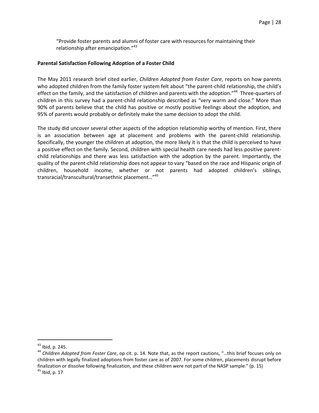"Provide foster parents and alumni of foster care with resources for maintaining their relationship after emancipation."<sup>43</sup>

#### **Parental Satisfaction Following Adoption of a Foster Child**

The May 2011 research brief cited earlier, *Children Adopted from Foster Care*, reports on how parents who adopted children from the family foster system felt about "the parent-child relationship, the child's effect on the family, and the satisfaction of children and parents with the adoption."<sup>44</sup> Three-quarters of children in this survey had a parent‐child relationship described as "very warm and close." More than 90% of parents believe that the child has positive or mostly positive feelings about the adoption, and 95% of parents would probably or definitely make the same decision to adopt the child.

The study did uncover several other aspects of the adoption relationship worthy of mention. First, there is an association between age at placement and problems with the parent‐child relationship. Specifically, the younger the children at adoption, the more likely it is that the child is perceived to have a positive effect on the family. Second, children with special health care needs had less positive parent‐ child relationships and there was less satisfaction with the adoption by the parent. Importantly, the quality of the parent‐child relationship does not appear to vary "based on the race and Hispanic origin of children, household income, whether or not parents had adopted children's siblings, transracial/transcultural/transethnic placement…"<sup>45</sup>

<sup>&</sup>lt;sup>43</sup> Ibid, p. 245.<br><sup>44</sup> *Children Adopted from Foster Care*, op cit. p. 14. Note that, as the report cautions, "...this brief focuses only on children with legally finalized adoptions from foster care as of 2007. For some children, placements disrupt before finalization or dissolve following finalization, and these children were not part of the NASP sample." (p. 15)  $^{45}$  Ibid, p. 17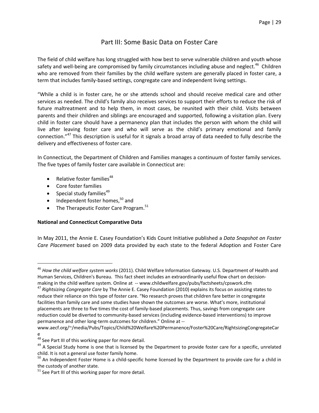## Part III: Some Basic Data on Foster Care

The field of child welfare has long struggled with how best to serve vulnerable children and youth whose safety and well-being are compromised by family circumstances including abuse and neglect.<sup>46</sup> Children who are removed from their families by the child welfare system are generally placed in foster care, a term that includes family-based settings, congregate care and independent living settings.

"While a child is in foster care, he or she attends school and should receive medical care and other services as needed. The child's family also receives services to support their efforts to reduce the risk of future maltreatment and to help them, in most cases, be reunited with their child. Visits between parents and their children and siblings are encouraged and supported, following a visitation plan. Every child in foster care should have a permanency plan that includes the person with whom the child will live after leaving foster care and who will serve as the child's primary emotional and family connection."<sup>47</sup> This description is useful for it signals a broad array of data needed to fully describe the delivery and effectiveness of foster care.

In Connecticut, the Department of Children and Families manages a continuum of foster family services. The five types of family foster care available in Connecticut are:

- Relative foster families $48$
- Core foster families

- Special study families $49$
- Independent foster homes,  $50$  and
- The Therapeutic Foster Care Program.<sup>51</sup>

#### **National and Connecticut Comparative Data**

In May 2011, the Annie E. Casey Foundation's Kids Count Initiative published a *Data Snapshot on Foster Care Placement* based on 2009 data provided by each state to the federal Adoption and Foster Care

<sup>46</sup> *How the child welfare system works* (2011). Child Welfare Information Gateway. U.S. Department of Health and Human Services, Children's Bureau. This fact sheet includes an extraordinarily useful flow chart on decision-<br>making in the child welfare system. Online at -- www.childwelfare.gov/pubs/factsheets/cpswork.cfm

<sup>&</sup>lt;sup>47</sup> Rightsizing Congregate Care by The Annie E. Casey Foundation (2010) explains its focus on assisting states to reduce their reliance on this type of foster care. "No research proves that children fare better in congregate facilities than family care and some studies have shown the outcomes are worse. What's more, institutional placements are three to five times the cost of family‐based placements. Thus, savings from congregate care reduction could be diverted to community‐based services (including evidence‐based interventions) to improve permanence and other long-term outcomes for children." Online at --

www.aecf.org/~/media/Pubs/Topics/Child%20Welfare%20Permanence/Foster%20Care/RightsizingCongregateCar

e<br><sup>48</sup> See Part III of this working paper for more detail.

 $49$  A Special Study home is one that is licensed by the Department to provide foster care for a specific, unrelated child. It is not a general use foster family home.<br><sup>50</sup> An Independent Foster Home is a child-specific home licensed by the Department to provide care for a child in

the custody of another state.<br><sup>51</sup> See Part III of this working paper for more detail.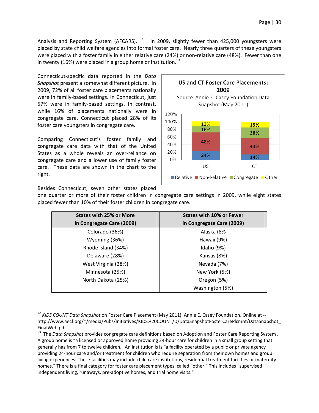Analysis and Reporting System (AFCARS).  $52$  In 2009, slightly fewer than 425,000 youngsters were placed by state child welfare agencies into formal foster care. Nearly three quarters of these youngsters were placed with a foster family in either relative care (24%) or non-relative care (48%). Fewer than one in twenty (16%) were placed in a group home or institution. $53$ 

Connecticut‐specific data reported in the *Data Snapshot* present a somewhat different picture. In 2009, 72% of all foster care placements nationally were in family‐based settings. In Connecticut, just 57% were in family‐based settings. In contrast, while 16% of placements nationally were in congregate care, Connecticut placed 28% of its foster care youngsters in congregate care.

Comparing Connecticut's foster family and congregate care data with that of the United States as a whole reveals an over-reliance on congregate care and a lower use of family foster care. These data are shown in the chart to the right.



Besides Connecticut, seven other states placed

one quarter or more of their foster children in congregate care settings in 2009, while eight states placed fewer than 10% of their foster children in congregate care.

| <b>States with 25% or More</b> | <b>States with 10% or Fewer</b> |  |
|--------------------------------|---------------------------------|--|
| in Congregate Care (2009)      | in Congregate Care (2009)       |  |
| Colorado (36%)                 | Alaska (8%                      |  |
| Wyoming (36%)                  | Hawaii (9%)                     |  |
| Rhode Island (34%)             | Idaho (9%)                      |  |
| Delaware (28%)                 | Kansas (8%)                     |  |
| West Virginia (28%)            | Nevada (7%)                     |  |
| Minnesota (25%)                | New York (5%)                   |  |
| North Dakota (25%)             | Oregon (5%)                     |  |
|                                | Washington (5%)                 |  |

<sup>52</sup> *KIDS COUNT Data Snapshot* on Foster Care Placement (May 2011). Annie E. Casey Foundation. Online at ‐‐ http://www.aecf.org/~/media/Pubs/Initiatives/KIDS%20COUNT/D/DataSnapshotFosterCarePlcmnt/DataSnapshot\_ FinalWeb.pdf

<sup>53</sup> The *Data Snapshot* provides congregate care definitions based on Adoption and Foster Care Reporting System . A group home is "a licensed or approved home providing 24‐hour care for children in a small group setting that generally has from 7 to twelve children." An institution is is "a facility operated by a public or private agency providing 24‐hour care and/or treatment for children who require separation from their own homes and group living experiences. These facilities may include child care institutions, residential treatment facilities or maternity homes." There is a final category for foster care placement types, called "other." This includes "supervised independent living, runaways, pre-adoptive homes, and trial home visits."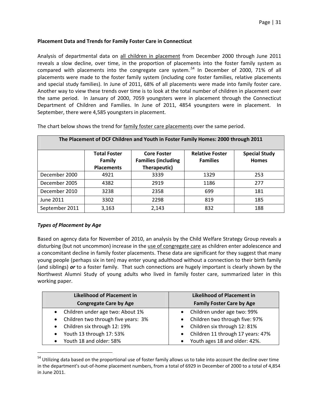#### **Placement Data and Trends for Family Foster Care in Connecticut**

Analysis of departmental data on all children in placement from December 2000 through June 2011 reveals a slow decline, over time, in the proportion of placements into the foster family system as compared with placements into the congregate care system.<sup>54</sup> In December of 2000, 71% of all placements were made to the foster family system (including core foster families, relative placements and special study families). In June of 2011, 68% of all placements were made into family foster care. Another way to view these trends over time is to look at the total number of children in placement over the same period. In January of 2000, 7059 youngsters were in placement through the Connecticut Department of Children and Families. In June of 2011, 4854 youngsters were in placement. In September, there were 4,585 youngsters in placement.

| The Placement of DCF Children and Youth in Foster Family Homes: 2000 through 2011 |                                                    |                                                                  |                                           |                                      |
|-----------------------------------------------------------------------------------|----------------------------------------------------|------------------------------------------------------------------|-------------------------------------------|--------------------------------------|
|                                                                                   | <b>Total Foster</b><br>Family<br><b>Placements</b> | <b>Core Foster</b><br><b>Families (including</b><br>Therapeutic) | <b>Relative Foster</b><br><b>Families</b> | <b>Special Study</b><br><b>Homes</b> |
| December 2000                                                                     | 4921                                               | 3339                                                             | 1329                                      | 253                                  |
| December 2005                                                                     | 4382                                               | 2919                                                             | 1186                                      | 277                                  |
| December 2010                                                                     | 3238                                               | 2358                                                             | 699                                       | 181                                  |
| June 2011                                                                         | 3302                                               | 2298                                                             | 819                                       | 185                                  |
| September 2011                                                                    | 3,163                                              | 2,143                                                            | 832                                       | 188                                  |

The chart below shows the trend for family foster care placements over the same period.

#### *Types of Placement by Age*

Based on agency data for November of 2010, an analysis by the Child Welfare Strategy Group reveals a disturbing (but not uncommon) increase in the use of congregate care as children enter adolescence and a concomitant decline in family foster placements. These data are significant for they suggest that many young people (perhaps six in ten) may enter young adulthood without a connection to their birth family (and siblings) *or* to a foster family. That such connections are hugely important is clearly shown by the Northwest Alumni Study of young adults who lived in family foster care, summarized later in this working paper.

| <b>Likelihood of Placement in</b>     | <b>Likelihood of Placement in</b>              |
|---------------------------------------|------------------------------------------------|
| <b>Congregate Care by Age</b>         | <b>Family Foster Care by Age</b>               |
| • Children under age two: About 1%    | Children under age two: 99%                    |
| • Children two through five years: 3% | Children two through five: 97%                 |
| • Children six through 12: 19%        | • Children six through 12: 81%                 |
| Youth 13 through 17: 53%<br>$\bullet$ | Children 11 through 17 years: 47%<br>$\bullet$ |
| • Youth 18 and older: 58%             | Youth ages 18 and older: 42%.                  |

<sup>&</sup>lt;sup>54</sup> Utilizing data based on the proportional use of foster family allows us to take into account the decline over time in the department's out‐of‐home placement numbers, from a total of 6929 in December of 2000 to a total of 4,854 in June 2011.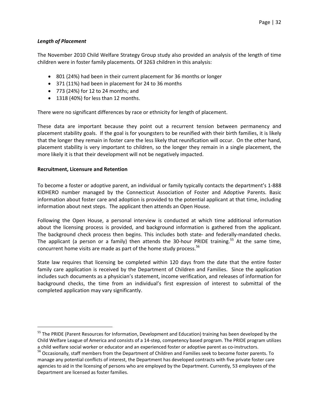#### *Length of Placement*

The November 2010 Child Welfare Strategy Group study also provided an analysis of the length of time children were in foster family placements. Of 3263 children in this analysis:

- 801 (24%) had been in their current placement for 36 months or longer
- 371 (11%) had been in placement for 24 to 36 months
- 773 (24%) for 12 to 24 months; and
- 1318 (40%) for less than 12 months.

There were no significant differences by race or ethnicity for length of placement.

These data are important because they point out a recurrent tension between permanency and placement stability goals. If the goal is for youngsters to be reunified with their birth families, it is likely that the longer they remain in foster care the less likely that reunification will occur. On the other hand, placement stability is very important to children, so the longer they remain in a single placement, the more likely it is that their development will not be negatively impacted.

#### **Recruitment, Licensure and Retention**

To become a foster or adoptive parent, an individual or family typically contacts the department's 1‐888 KIDHERO number managed by the Connecticut Association of Foster and Adoptive Parents. Basic information about foster care and adoption is provided to the potential applicant at that time, including information about next steps. The applicant then attends an Open House.

Following the Open House, a personal interview is conducted at which time additional information about the licensing process is provided, and background information is gathered from the applicant. The background check process then begins. This includes both state- and federally-mandated checks. The applicant (a person or a family) then attends the 30-hour PRIDE training.<sup>55</sup> At the same time, concurrent home visits are made as part of the home study process.<sup>56</sup>

State law requires that licensing be completed within 120 days from the date that the entire foster family care application is received by the Department of Children and Families. Since the application includes such documents as a physician's statement, income verification, and releases of information for background checks, the time from an individual's first expression of interest to submittal of the completed application may vary significantly.

<sup>&</sup>lt;sup>55</sup> The PRIDE (Parent Resources for Information, Development and Education) training has been developed by the Child Welfare League of America and consists of a 14‐step, competency based program. The PRIDE program utilizes a child welfare social worker or educator and an experienced foster or adoptive parent as co-instructors.<br><sup>56</sup> Occasionally, staff members from the Department of Children and Families seek to become foster parents. To

manage any potential conflicts of interest, the Department has developed contracts with five private foster care agencies to aid in the licensing of persons who are employed by the Department. Currently, 53 employees of the Department are licensed as foster families.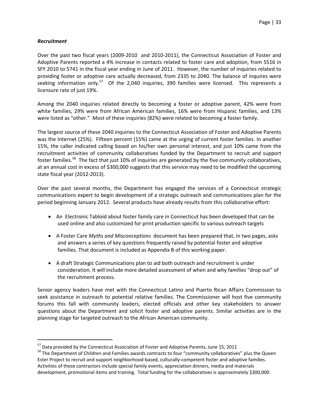#### *Recruitment*

Over the past two fiscal years (2009‐2010 and 2010‐2011), the Connecticut Association of Foster and Adoptive Parents reported a 4% increase in contacts related to foster care and adoption, from 5516 in SFY 2010 to 5741 in the fiscal year ending in June of 2011. However, the number of inquiries related to providing foster or adoptive care actually decreased, from 2335 to 2040. The balance of inquires were seeking information only.<sup>57</sup> Of the 2,040 inquiries, 390 families were licensed. This represents a licensure rate of just 19%.

Among the 2040 inquiries related directly to becoming a foster or adoptive parent, 42% were from white families, 29% were from African American families, 16% were from Hispanic families, and 13% were listed as "other." Most of these inquiries (82%) were related to becoming a foster family.

The largest source of these 2040 inquiries to the Connecticut Association of Foster and Adoptive Parents was the Internet (25%). Fifteen percent (15%) came at the urging of current foster families. In another 15%, the caller indicated calling based on his/her own personal interest, and just 10% came from the recruitment activities of community collaboratives funded by the Department to recruit and support foster families.<sup>58</sup> The fact that just 10% of inquiries are generated by the five community collaboratives, at an annual cost in excess of \$300,000 suggests that this service may need to be modified the upcoming state fiscal year (2012‐2013).

Over the past several months, the Department has engaged the services of a Connecticut strategic communications expert to begin development of a strategic outreach and communications plan for the period beginning January 2012. Several products have already results from this collaborative effort:

- An Electronic Tabloid about foster family care in Connecticut has been developed that can be used online and also customized for print production specific to various outreach targets
- A Foster Care *Myths and Misconceptions* document has been prepared that, in two pages, asks and answers a series of key questions frequently raised by potential foster and adoptive families. That document is included as Appendix B of this working paper.
- A draft Strategic Communications plan to aid both outreach and recruitment is under consideration. It will include more detailed assessment of when and why families "drop out" of the recruitment process.

Senior agency leaders have met with the Connecticut Latino and Puerto Rican Affairs Commission to seek assistance in outreach to potential relative families. The Commissioner will host five community forums this fall with community leaders, elected officials and other key stakeholders to answer questions about the Department and solicit foster and adoptive parents. Similar activities are in the planning stage for targeted outreach to the African American community.

<sup>&</sup>lt;sup>57</sup> Data provided by the Connecticut Association of Foster and Adoptive Parents, June 15, 2011<br><sup>58</sup> The Department of Children and Families awards contracts to four "community collaboratives" plus the Queen Ester Project to recruit and support neighborhood‐based, culturally‐competent foster and adoptive families. Activities of these contractors include special family events, appreciation dinners, media and materials development, promotional items and training. Total funding for the collaboratives is approximately \$300,000.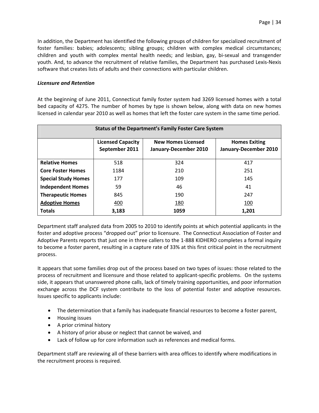In addition, the Department has identified the following groups of children for specialized recruitment of foster families: babies; adolescents; sibling groups; children with complex medical circumstances; children and youth with complex mental health needs; and lesbian, gay, bi‐sexual and transgender youth. And, to advance the recruitment of relative families, the Department has purchased Lexis‐Nexis software that creates lists of adults and their connections with particular children.

#### *Licensure and Retention*

At the beginning of June 2011, Connecticut family foster system had 3269 licensed homes with a total bed capacity of 4275. The number of homes by type is shown below, along with data on new homes licensed in calendar year 2010 as well as homes that left the foster care system in the same time period.

| Status of the Department's Family Foster Care System |                                            |                                                    |                                               |
|------------------------------------------------------|--------------------------------------------|----------------------------------------------------|-----------------------------------------------|
|                                                      | <b>Licensed Capacity</b><br>September 2011 | <b>New Homes Licensed</b><br>January-December 2010 | <b>Homes Exiting</b><br>January-December 2010 |
| <b>Relative Homes</b>                                | 518                                        | 324                                                | 417                                           |
| <b>Core Foster Homes</b>                             | 1184                                       | 210                                                | 251                                           |
| <b>Special Study Homes</b>                           | 177                                        | 109                                                | 145                                           |
| <b>Independent Homes</b>                             | 59                                         | 46                                                 | 41                                            |
| <b>Therapeutic Homes</b>                             | 845                                        | 190                                                | 247                                           |
| <b>Adoptive Homes</b>                                | 400                                        | 180                                                | 100                                           |
| <b>Totals</b>                                        | 3,183                                      | 1059                                               | 1,201                                         |

Department staff analyzed data from 2005 to 2010 to identify points at which potential applicants in the foster and adoptive process "dropped out" prior to licensure. The Connecticut Association of Foster and Adoptive Parents reports that just one in three callers to the 1‐888 KIDHERO completes a formal inquiry to become a foster parent, resulting in a capture rate of 33% at this first critical point in the recruitment process.

It appears that some families drop out of the process based on two types of issues: those related to the process of recruitment and licensure and those related to applicant‐specific problems. On the systems side, it appears that unanswered phone calls, lack of timely training opportunities, and poor information exchange across the DCF system contribute to the loss of potential foster and adoptive resources. Issues specific to applicants include:

- The determination that a family has inadequate financial resources to become a foster parent,
- Housing issues
- A prior criminal history
- A history of prior abuse or neglect that cannot be waived, and
- Lack of follow up for core information such as references and medical forms.

Department staff are reviewing all of these barriers with area offices to identify where modifications in the recruitment process is required.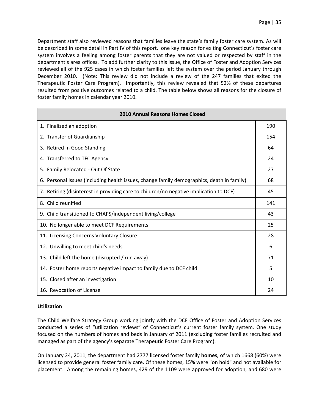Department staff also reviewed reasons that families leave the state's family foster care system. As will be described in some detail in Part IV of this report, one key reason for exiting Connecticut's foster care system involves a feeling among foster parents that they are not valued or respected by staff in the department's area offices. To add further clarity to this issue, the Office of Foster and Adoption Services reviewed all of the 925 cases in which foster families left the system over the period January through December 2010. (Note: This review did not include a review of the 247 families that exited the Therapeutic Foster Care Program). Importantly, this review revealed that 52% of these departures resulted from positive outcomes related to a child. The table below shows all reasons for the closure of foster family homes in calendar year 2010.

| <b>2010 Annual Reasons Homes Closed</b>                                                   |     |  |  |
|-------------------------------------------------------------------------------------------|-----|--|--|
| 1. Finalized an adoption                                                                  | 190 |  |  |
| 2. Transfer of Guardianship                                                               | 154 |  |  |
| 3. Retired In Good Standing                                                               | 64  |  |  |
| 4. Transferred to TFC Agency                                                              | 24  |  |  |
| 5. Family Relocated - Out Of State                                                        | 27  |  |  |
| 6. Personal Issues (including health issues, change family demographics, death in family) | 68  |  |  |
| 7. Retiring (disinterest in providing care to children/no negative implication to DCF)    | 45  |  |  |
| 8. Child reunified                                                                        | 141 |  |  |
| 9. Child transitioned to CHAPS/independent living/college                                 | 43  |  |  |
| 10. No longer able to meet DCF Requirements                                               | 25  |  |  |
| 11. Licensing Concerns Voluntary Closure                                                  | 28  |  |  |
| 12. Unwilling to meet child's needs                                                       | 6   |  |  |
| 13. Child left the home (disrupted / run away)                                            | 71  |  |  |
| 14. Foster home reports negative impact to family due to DCF child                        | 5   |  |  |
| 15. Closed after an investigation                                                         | 10  |  |  |
| 16. Revocation of License                                                                 | 24  |  |  |

#### **Utilization**

The Child Welfare Strategy Group working jointly with the DCF Office of Foster and Adoption Services conducted a series of "utilization reviews" of Connecticut's current foster family system. One study focused on the numbers of homes and beds in January of 2011 (excluding foster families recruited and managed as part of the agency's separate Therapeutic Foster Care Program).

On January 24, 2011, the department had 2777 licensed foster family **homes,** of which 1668 (60%) were licensed to provide general foster family care. Of these homes, 15% were "on hold" and not available for placement. Among the remaining homes, 429 of the 1109 were approved for adoption, and 680 were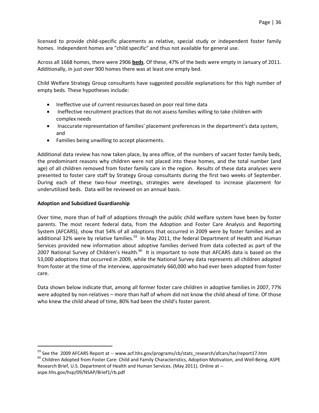licensed to provide child‐specific placements as relative, special study or independent foster family homes. Independent homes are "child specific" and thus not available for general use.

Across all 1668 homes, there were 2906 **beds**. Of these, 47% of the beds were empty in January of 2011. Additionally, in just over 900 homes there was at least one empty bed.

Child Welfare Strategy Group consultants have suggested possible explanations for this high number of empty beds. These hypotheses include:

- Ineffective use of current resources based on poor real time data
- Ineffective recruitment practices that do not assess families willing to take children with complex needs
- Inaccurate representation of families' placement preferences in the department's data system, and
- Families being unwilling to accept placements.

Additional data review has now taken place, by area office, of the numbers of vacant foster family beds, the predominant reasons why children were not placed into these homes, and the total number (and age) of all children removed from foster family care in the region. Results of these data analyses were presented to foster care staff by Strategy Group consultants during the first two weeks of September. During each of these two-hour meetings, strategies were developed to increase placement for underutilized beds. Data will be reviewed on an annual basis.

#### **Adoption and Subsidized Guardianship**

Over time, more than of half of adoptions through the public child welfare system have been by foster parents. The most recent federal data, from the Adoption and Foster Care Analysis and Reporting System (AFCARS), show that 54% of all adoptions that occurred in 2009 were by foster families and an additional 32% were by relative families.<sup>59</sup> In May 2011, the federal Department of Health and Human Services provided new information about adoptive families derived from data collected as part of the 2007 National Survey of Children's Health.<sup>60</sup> It is important to note that AFCARS data is based on the 53,000 adoptions that occurred in 2009, while the National Survey data represents all children adopted from foster at the time of the interview, approximately 660,000 who had ever been adopted from foster care.

Data shown below indicate that, among all former foster care children in adoptive families in 2007, 77% were adopted by non-relatives – more than half of whom did not know the child ahead of time. Of those who knew the child ahead of time, 80% had been the child's foster parent.

<sup>&</sup>lt;sup>59</sup> See the 2009 AFCARS Report at -- www.acf.hhs.gov/programs/cb/stats\_research/afcars/tar/report17.htm 60 Children Adopted from Foster Care: Child and Family Characteristics, Adoption Motivation, and Well-Being. ASPE Research Brief, U.S. Department of Health and Human Services. (May 2011). Online at ‐‐ aspe.hhs.gov/hsp/09/NSAP/Brief1/rb.pdf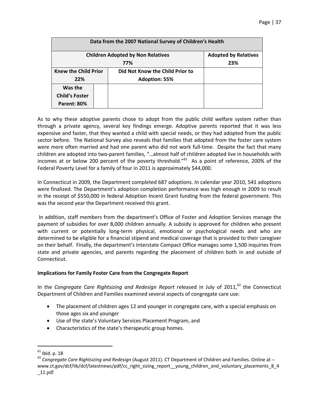| Data from the 2007 National Survey of Children's Health |  |                                 |                             |
|---------------------------------------------------------|--|---------------------------------|-----------------------------|
| <b>Children Adopted by Non Relatives</b>                |  |                                 | <b>Adopted by Relatives</b> |
| 77%                                                     |  | 23%                             |                             |
| <b>Knew the Child Prior</b>                             |  | Did Not Know the Child Prior to |                             |
| 22%                                                     |  | <b>Adoption: 55%</b>            |                             |
| Was the                                                 |  |                                 |                             |
| <b>Child's Foster</b>                                   |  |                                 |                             |
| <b>Parent: 80%</b>                                      |  |                                 |                             |

As to why these adoptive parents chose to adopt from the public child welfare system rather than through a private agency, several key findings emerge. Adoptive parents reported that it was less expensive and faster, that they wanted a child with special needs, or they had adopted from the public sector before. The National Survey also reveals that families that adopted from the foster care system were more often married and had one parent who did not work full-time. Despite the fact that many children are adopted into two‐parent families, "…almost half of children adopted live in households with incomes at or below 200 percent of the poverty threshold."<sup>61</sup> As a point of reference, 200% of the Federal Poverty Level for a family of four in 2011 is approximately \$44,000.

In Connecticut in 2009, the Department completed 687 adoptions. In calendar year 2010, 541 adoptions were finalized. The Department's adoption completion performance was high enough in 2009 to result in the receipt of \$550,000 in federal Adoption Incent Grant funding from the federal government. This was the second year the Department received this grant.

In addition, staff members from the department's Office of Foster and Adoption Services manage the payment of subsidies for over 8,000 children annually. A subsidy is approved for children who present with current or potentially long-term physical, emotional or psychological needs and who are determined to be eligible for a financial stipend and medical coverage that is provided to their caregiver on their behalf. Finally, the department's Interstate Compact Office manages some 1,500 inquiries from state and private agencies, and parents regarding the placement of children both in and outside of Connecticut.

## **Implications for Family Foster Care from the Congregate Report**

In the *Congregate Care Rightsizing and Redesign Report* released in July of 2011,<sup>62</sup> the Connecticut Department of Children and Families examined several aspects of congregate care use:

- The placement of children ages 12 and younger in congregate care, with a special emphasis on those ages six and younger
- Use of the state's Voluntary Services Placement Program, and
- Characteristics of the state's therapeutic group homes.

<sup>61</sup> Ibid. p. <sup>18</sup> <sup>62</sup> *Congregate Care Rightsizing and Redesign* (August 2011). CT Department of Children and Families. Online at ‐‐ www.ct.gov/dcf/lib/dcf/latestnews/pdf/cc\_right\_sizing\_report\_\_young\_children\_and\_voluntary\_placements\_8\_4 \_11.pdf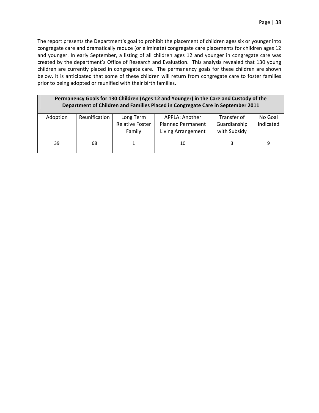The report presents the Department's goal to prohibit the placement of children ages six or younger into congregate care and dramatically reduce (or eliminate) congregate care placements for children ages 12 and younger. In early September, a listing of all children ages 12 and younger in congregate care was created by the department's Office of Research and Evaluation. This analysis revealed that 130 young children are currently placed in congregate care. The permanency goals for these children are shown below. It is anticipated that some of these children will return from congregate care to foster families prior to being adopted or reunified with their birth families.

| Permanency Goals for 130 Children (Ages 12 and Younger) in the Care and Custody of the<br>Department of Children and Families Placed in Congregate Care in September 2011 |               |                                               |                                                                  |                                             |                      |
|---------------------------------------------------------------------------------------------------------------------------------------------------------------------------|---------------|-----------------------------------------------|------------------------------------------------------------------|---------------------------------------------|----------------------|
| Adoption                                                                                                                                                                  | Reunification | Long Term<br><b>Relative Foster</b><br>Family | APPLA: Another<br><b>Planned Permanent</b><br>Living Arrangement | Transfer of<br>Guardianship<br>with Subsidy | No Goal<br>Indicated |
| 39                                                                                                                                                                        | 68            |                                               | 10                                                               |                                             | q                    |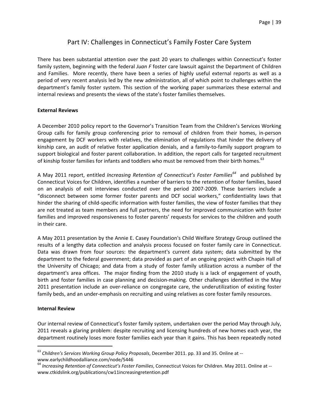# Part IV: Challenges in Connecticut's Family Foster Care System

There has been substantial attention over the past 20 years to challenges within Connecticut's foster family system, beginning with the federal *Juan F* foster care lawsuit against the Department of Children and Families. More recently, there have been a series of highly useful external reports as well as a period of very recent analysis led by the new administration, all of which point to challenges within the department's family foster system. This section of the working paper summarizes these external and internal reviews and presents the views of the state's foster families themselves.

### **External Reviews**

A December 2010 policy report to the Governor's Transition Team from the Children's Services Working Group calls for family group conferencing prior to removal of children from their homes, in‐person engagement by DCF workers with relatives, the elimination of regulations that hinder the delivery of kinship care, an audit of relative foster application denials, and a family-to-family support program to support biological and foster parent collaboration. In addition, the report calls for targeted recruitment of kinship foster families for infants and toddlers who must be removed from their birth homes.<sup>63</sup>

A May 2011 report, entitled *Increasing Retention of Connecticut's Foster Families<sup>64</sup>* and published by Connecticut Voices for Children, identifies a number of barriers to the retention of foster families, based on an analysis of exit interviews conducted over the period 2007-2009. These barriers include a "disconnect between some former foster parents and DCF social workers," confidentiality laws that hinder the sharing of child‐specific information with foster families, the view of foster families that they are not treated as team members and full partners, the need for improved communication with foster families and improved responsiveness to foster parents' requests for services to the children and youth in their care.

A May 2011 presentation by the Annie E. Casey Foundation's Child Welfare Strategy Group outlined the results of a lengthy data collection and analysis process focused on foster family care in Connecticut. Data was drawn from four sources: the department's current data system; data submitted by the department to the federal government; data provided as part of an ongoing project with Chapin Hall of the University of Chicago; and data from a study of foster family utilization across a number of the department's area offices. The major finding from the 2010 study is a lack of engagement of youth, birth and foster families in case planning and decision-making. Other challenges identified in the May 2011 presentation include an over-reliance on congregate care, the underutilization of existing foster family beds, and an under‐emphasis on recruiting and using relatives as core foster family resources.

### **Internal Review**

Our internal review of Connecticut's foster family system, undertaken over the period May through July, 2011 reveals a glaring problem: despite recruiting and licensing hundreds of new homes each year, the department routinely loses more foster families each year than it gains. This has been repeatedly noted

<sup>63</sup> *Children's Services Working Group Policy Proposals*, December 2011. pp. 33 and 35. Online at ‐‐ www.earlychildhoodalliance.com/node/5446

<sup>64</sup> *Increasing Retention of Connecticut's Foster Families*, Connecticut Voices for Children. May 2011. Online at ‐‐ www.ctkidslink.org/publications/cw11increasingretention.pdf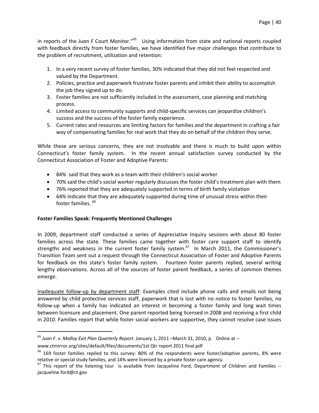in reports of the *Juan F* Court Monitor."<sup>65</sup> Using information from state and national reports coupled with feedback directly from foster families, we have identified five major challenges that contribute to the problem of recruitment, utilization and retention:

- 1. In a very recent survey of foster families, 30% indicated that they did not feel respected and valued by the Department.
- 2. Policies, practice and paperwork frustrate foster parents and inhibit their ability to accomplish the job they signed up to do.
- 3. Foster families are not sufficiently included in the assessment, case planning and matching process.
- 4. Limited access to community supports and child-specific services can jeopardize children's success and the success of the foster family experience.
- 5. Current rates and resources are limiting factors for families *and* the department in crafting a fair way of compensating families for real work that they do on behalf of the children they serve.

While these are serious concerns, they are not insolvable and there is much to build upon within Connecticut's foster family system. In the recent annual satisfaction survey conducted by the Connecticut Association of Foster and Adoptive Parents:

- 84% said that they work as a team with their children's social worker
- 70% said the child's social worker regularly discusses the foster child's treatment plan with them
- 76% reported that they are adequately supported in terms of birth family visitation
- 64% indicate that they are adequately supported during time of unusual stress within their foster families.<sup>66</sup>

## **Foster Families Speak: Frequently Mentioned Challenges**

In 2009, department staff conducted a series of Appreciative Inquiry sessions with about 80 foster families across the state. These families came together with foster care support staff to identify strengths and weakness in the current foster family system.<sup>67</sup> In March 2011, the Commissioner's Transition Team sent out a request through the Connecticut Association of Foster and Adoptive Parents for feedback on this state's foster family system. Fourteen foster parents replied, several writing lengthy observations. Across all of the sources of foster parent feedback, a series of common themes emerge.

Inadequate follow‐up by department staff: Examples cited include phone calls and emails not being answered by child protective services staff, paperwork that is lost with no notice to foster families, no follow‐up when a family has indicated an interest in becoming a foster family and long wait times between licensure and placement. One parent reported being licensed in 2008 and receiving a first child in 2010. Families report that while foster social workers are supportive, they cannot resolve case issues

<sup>65</sup> *Juan F*. v. *Malloy Exit Plan Quarterly Report*. January 1, 2011 –March 31, 2010, p. Online at ‐‐

www.ctmirror.org/sites/default/files/documents/1st Qtr report 2011 final.pdf

<sup>&</sup>lt;sup>66</sup> 169 foster families replied to this survey: 80% of the respondents were foster/adoptive parents, 8% were relative or special study families, and 14% were licensed by a private foster care agency.<br><sup>67</sup> This report of the listening tour is available from Jacqueline Ford, Department of Children and Families --

jacqueline.ford@ct.gov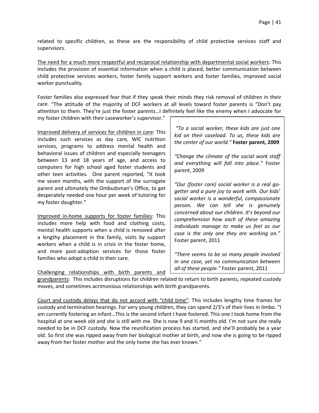related to specific children, as these are the responsibility of child protective services staff and supervisors.

The need for a much more respectful and reciprocal relationship with departmental social workers: This includes the provision of essential information when a child is placed, better communication between child protective services workers, foster family support workers and foster families, improved social worker punctuality.

Foster families also expressed fear that if they speak their minds they risk removal of children in their care. "The attitude of the majority of DCF workers at all levels toward foster parents is "Don't pay attention to them. They're just the foster parents…I definitely feel like the enemy when I advocate for my foster children with their caseworker's supervisor."

Improved delivery of services for children in care: This includes such services as day care, WIC nutrition services, programs to address mental health and behavioral issues of children and especially teenagers between 13 and 18 years of age, and access to computers for high school aged foster students and other teen activities. One parent reported, "It took me seven months, with the support of the surrogate parent and ultimately the Ombudsman's Office, to get desperately needed one hour per week of tutoring for my foster daughter."

Improved in‐home supports for foster families: This includes more help with food and clothing costs, mental health supports when a child is removed after a lengthy placement in the family, visits by support workers when a child is in crisis in the foster home, and more post‐adoption services for those foster families who adopt a child in their care.

*"To a social worker, these kids are just one kid on their caseload. To us, these kids are the center of our world."* **Foster parent, 2009**

*"Change the climate of the social work staff and everything will fall into place."* Foster parent, 2009

*"Our (foster care) social worker is a real go‐ getter and a pure joy to work with. Our kids' social worker is a wonderful, compassionate person. We can tell she is genuinely concerned about our children. It's beyond our comprehension how each of these amazing individuals manage to make us feel as our case is the only one they are working on."* Foster parent, 2011

*"There seems to be so many people involved in one case, yet no communication between all of these people."* Foster parent, 2011

Challenging relationships with birth parents and

grandparents: This includes disruptions for children related to return to birth parents, repeated custody moves, and sometimes acrimonious relationships with birth grandparents.

Court and custody delays that do not accord with "child time": This includes lengthy time frames for custody and termination hearings. For very young children, they can spend 2/3's of their lives in limbo. "I am currently fostering an infant…This is the second infant I have fostered. This one I took home from the hospital at one week old and she is still with me. She is now 9 and 1/2 months old. I'm not sure she really needed to be in DCF custody. Now the reunification process has started, and she'll probably be a year old. So first she was ripped away from her biological mother at birth, and now she is going to be ripped away from her foster mother and the only home she has ever known."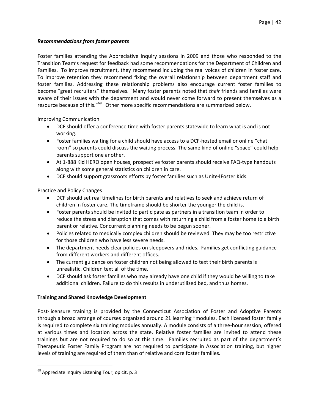### *Recommendations from foster parents*

Foster families attending the Appreciative Inquiry sessions in 2009 and those who responded to the Transition Team's request for feedback had some recommendations for the Department of Children and Families. To improve recruitment, they recommend including the real voices of children in foster care. To improve retention they recommend fixing the overall relationship between department staff and foster families. Addressing these relationship problems also encourage current foster families to become "great recruiters" themselves. "Many foster parents noted that *their* friends and families were aware of their issues with the department and would never come forward to present themselves as a resource because of this."<sup>68</sup> Other more specific recommendations are summarized below.

### Improving Communication

- DCF should offer a conference time with foster parents statewide to learn what is and is not working.
- Foster families waiting for a child should have access to a DCF‐hosted email or online "chat room" so parents could discuss the waiting process. The same kind of online "space" could help parents support one another.
- At 1‐888 Kid HERO open houses, prospective foster parents should receive FAQ‐type handouts along with some general statistics on children in care.
- DCF should support grassroots efforts by foster families such as Unite4Foster Kids.

### Practice and Policy Changes

- DCF should set real timelines for birth parents and relatives to seek and achieve return of children in foster care. The timeframe should be shorter the younger the child is.
- Foster parents should be invited to participate as partners in a transition team in order to reduce the stress and disruption that comes with returning a child from a foster home to a birth parent or relative. Concurrent planning needs to be begun sooner.
- Policies related to medically complex children should be reviewed. They may be too restrictive for those children who have less severe needs.
- The department needs clear policies on sleepovers and rides. Families get conflicting guidance from different workers and different offices.
- The current guidance on foster children not being allowed to text their birth parents is unrealistic. Children text all of the time.
- DCF should ask foster families who may already have one child if they would be willing to take additional children. Failure to do this results in underutilized bed, and thus homes.

### **Training and Shared Knowledge Development**

Post-licensure training is provided by the Connecticut Association of Foster and Adoptive Parents through a broad arrange of courses organized around 21 learning "modules. Each licensed foster family is required to complete six training modules annually. A module consists of a three‐hour session, offered at various times and location across the state. Relative foster families are invited to attend these trainings but are not required to do so at this time. Families recruited as part of the department's Therapeutic Foster Family Program are not required to participate in Association training, but higher levels of training are required of them than of relative and core foster families.

<sup>&</sup>lt;sup>68</sup> Appreciate Inquiry Listening Tour, op cit. p. 3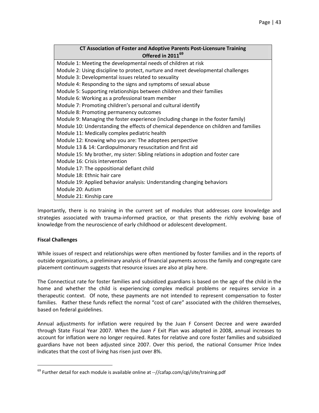# **CT Association of Foster and Adoptive Parents Post‐Licensure Training Offered in 2011<sup>69</sup>** Module 1: Meeting the developmental needs of children at risk Module 2: Using discipline to protect, nurture and meet developmental challenges Module 3: Developmental issues related to sexuality Module 4: Responding to the signs and symptoms of sexual abuse Module 5: Supporting relationships between children and their families Module 6: Working as a professional team member Module 7: Promoting children's personal and cultural identify Module 8: Promoting permanency outcomes Module 9: Managing the foster experience (including change in the foster family) Module 10: Understanding the effects of chemical dependence on children and families Module 11: Medically complex pediatric health Module 12: Knowing who you are: The adoptees perspective Module 13 & 14: Cardiopulmonary resuscitation and first aid Module 15: My brother, my sister: Sibling relations in adoption and foster care Module 16: Crisis intervention Module 17: The oppositional defiant child Module 18: Ethnic hair care Module 19: Applied behavior analysis: Understanding changing behaviors Module 20: Autism Module 21: Kinship care

Importantly, there is no training in the current set of modules that addresses core knowledge and strategies associated with trauma‐informed practice, or that presents the richly evolving base of knowledge from the neuroscience of early childhood or adolescent development.

## **Fiscal Challenges**

While issues of respect and relationships were often mentioned by foster families and in the reports of outside organizations, a preliminary analysis of financial payments across the family and congregate care placement continuum suggests that resource issues are also at play here.

The Connecticut rate for foster families and subsidized guardians is based on the age of the child in the home and whether the child is experiencing complex medical problems or requires service in a therapeutic context. Of note, these payments are not intended to represent compensation to foster families. Rather these funds reflect the normal "cost of care" associated with the children themselves, based on federal guidelines.

Annual adjustments for inflation were required by the Juan F Consent Decree and were awarded through State Fiscal Year 2007. When the *Juan F* Exit Plan was adopted in 2008, annual increases to account for inflation were no longer required. Rates for relative and core foster families and subsidized guardians have not been adjusted since 2007. Over this period, the national Consumer Price Index indicates that the cost of living has risen just over 8%.

 $69$  Further detail for each module is available online at --//cafap.com/cgi/site/training.pdf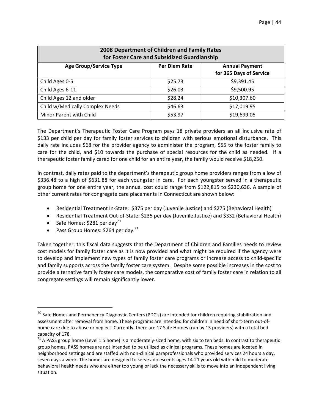| 2008 Department of Children and Family Rates<br>for Foster Care and Subsidized Guardianship |                      |                                                  |  |
|---------------------------------------------------------------------------------------------|----------------------|--------------------------------------------------|--|
| <b>Age Group/Service Type</b>                                                               | <b>Per Diem Rate</b> | <b>Annual Payment</b><br>for 365 Days of Service |  |
| Child Ages 0-5                                                                              | \$25.73              | \$9,391.45                                       |  |
| Child Ages 6-11                                                                             | \$26.03              | \$9,500.95                                       |  |
| Child Ages 12 and older                                                                     | \$28.24              | \$10,307.60                                      |  |
| Child w/Medically Complex Needs                                                             | \$46.63              | \$17,019.95                                      |  |
| Minor Parent with Child                                                                     | \$53.97              | \$19,699.05                                      |  |

The Department's Therapeutic Foster Care Program pays 18 private providers an all inclusive rate of \$133 per child per day for family foster services to children with serious emotional disturbance. This daily rate includes \$68 for the provider agency to administer the program, \$55 to the foster family to care for the child, and \$10 towards the purchase of special resources for the child as needed. If a therapeutic foster family cared for one child for an entire year, the family would receive \$18,250.

In contrast, daily rates paid to the department's therapeutic group home providers ranges from a low of \$336.48 to a high of \$631.88 for each youngster in care. For each youngster served in a therapeutic group home for one entire year, the annual cost could range from \$122,815 to \$230,636. A sample of other current rates for congregate care placements in Connecticut are shown below:

- Residential Treatment In‐State: \$375 per day (Juvenile Justice) and \$275 (Behavioral Health)
- Residential Treatment Out‐of‐State: \$235 per day (Juvenile Justice) and \$332 (Behavioral Health)
- Safe Homes:  $$281$  per day<sup>70</sup>

Pass Group Homes: \$264 per day.<sup>71</sup>

Taken together, this fiscal data suggests that the Department of Children and Families needs to review cost models for family foster care as it is now provided and what might be required if the agency were to develop and implement new types of family foster care programs or increase access to child‐specific and family supports across the family foster care system. Despite some possible increases in the cost to provide alternative family foster care models, the comparative cost of family foster care in relation to all congregate settings will remain significantly lower.

<sup>&</sup>lt;sup>70</sup> Safe Homes and Permanency Diagnostic Centers (PDC's) are intended for children requiring stabilization and assessment after removal from home. These programs are intended for children in need of short-term out-ofhome care due to abuse or neglect. Currently, there are 17 Safe Homes (run by 13 providers) with a total bed

capacity of 178.<br><sup>71</sup> A PASS group home (Level 1.5 home) is a moderately-sized home, with six to ten beds. In contrast to therapeutic group homes, PASS homes are not intended to be utilized as clinical programs. These homes are located in neighborhood settings and are staffed with non‐clinical paraprofessionals who provided services 24 hours a day, seven days a week. The homes are designed to serve adolescents ages 14‐21 years old with mild to moderate behavioral health needs who are either too young or lack the necessary skills to move into an independent living situation.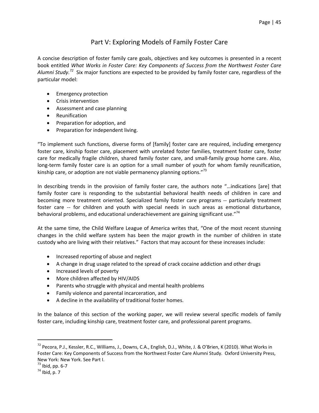# Part V: Exploring Models of Family Foster Care

A concise description of foster family care goals, objectives and key outcomes is presented in a recent book entitled *What Works in Foster Care: Key Components of Success from the Northwest Foster Care Alumni Study.<sup>72</sup>* Six major functions are expected to be provided by family foster care, regardless of the particular model:

- Emergency protection
- Crisis intervention
- Assessment and case planning
- Reunification
- Preparation for adoption, and
- Preparation for independent living.

"To implement such functions, diverse forms of [family] foster care are required, including emergency foster care, kinship foster care, placement with unrelated foster families, treatment foster care, foster care for medically fragile children, shared family foster care, and small‐family group home care. Also, long‐term family foster care is an option for a small number of youth for whom family reunification, kinship care, or adoption are not viable permanency planning options." $73$ 

In describing trends in the provision of family foster care, the authors note "…indications [are] that family foster care is responding to the substantial behavioral health needs of children in care and becoming more treatment oriented. Specialized family foster care programs -- particularly treatment foster care -- for children and youth with special needs in such areas as emotional disturbance, behavioral problems, and educational underachievement are gaining significant use."<sup>74</sup>

At the same time, the Child Welfare League of America writes that, "One of the most recent stunning changes in the child welfare system has been the major growth in the number of children in state custody who are living with their relatives." Factors that may account for these increases include:

- Increased reporting of abuse and neglect
- A change in drug usage related to the spread of crack cocaine addiction and other drugs
- Increased levels of poverty

- More children affected by HIV/AIDS
- Parents who struggle with physical and mental health problems
- Family violence and parental incarceration, and
- A decline in the availability of traditional foster homes.

In the balance of this section of the working paper, we will review several specific models of family foster care, including kinship care, treatment foster care, and professional parent programs.

<sup>&</sup>lt;sup>72</sup> Pecora, P.J., Kessler, R.C., Williams, J., Downs, C.A., English, D.J., White, J. & O'Brien, K (2010). What Works in Foster Care: Key Components of Success from the Northwest Foster Care Alumni Study. Oxford University Press, New York: New York. See Part I.<br><sup>73</sup> Ibid, pp. 6-7<br><sup>74</sup> Ibid. p. 7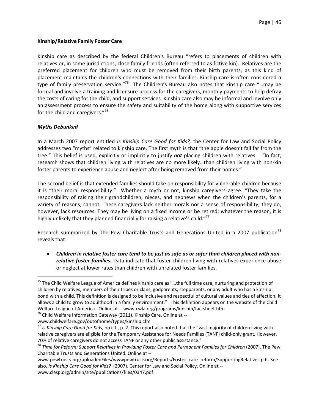#### **Kinship/Relative Family Foster Care**

Kinship care as described by the federal Children's Bureau "refers to placements of children with relatives or, in some jurisdictions, close family friends (often referred to as fictive kin). Relatives are the preferred placement for children who must be removed from their birth parents, as this kind of placement maintains the children's connections with their families. Kinship care is often considered a type of family preservation service."<sup>75</sup> The Children's Bureau also notes that kinship care "...may be formal and involve a training and licensure process for the caregivers, monthly payments to help defray the costs of caring for the child, and support services. Kinship care also may be informal and involve only an assessment process to ensure the safety and suitability of the home along with supportive services for the child and caregivers."<sup>76</sup>

#### *Myths Debunked*

In a March 2007 report entitled *Is Kinship Care Good for Kids?,* the Center for Law and Social Policy addresses two "myths" related to kinship care. The first myth is that "the apple doesn't fall far from the tree." This belief is used, explicitly or implicitly to justify *not* placing children with relatives. "In fact, research shows that children living with relatives are no more likely…than children living with non-kin foster parents to experience abuse and neglect after being removed from their homes."

The second belief is that extended families should take on responsibility for vulnerable children because it is "their moral responsibility." Whether a myth or not, kinship caregivers agree. "They take the responsibility of raising their grandchildren, nieces, and nephews when the children's parents, for a variety of reasons, cannot. These caregivers lack neither morals nor a sense of responsibility; they do, however, lack resources. They may be living on a fixed income or be retired; whatever the reason, it is highly unlikely that they planned financially for raising a relative's child."<sup>77</sup>

Research summarized by The Pew Charitable Trusts and Generations United in a 2007 publication<sup>78</sup> reveals that:

• Children in relative foster care tend to be just as safe as or safer than children placed with non*relative foster families.* Data indicate that foster children living with relatives experience abuse or neglect at lower rates than children with unrelated foster families.

<sup>&</sup>lt;sup>75</sup> The Child Welfare League of America defines kinship care as "...the full time care, nurturing and protection of children by relatives, members of their tribes or clans, godparents, stepparents, or any adult who has a kinship bond with a child. This definition is designed to be inclusive and respectful of cultural values and ties of affection. It allows a child to grow to adulthood in a family environment." This definition appears on the website of the Child

Welfare League of America . Online at -- www.cwla.org/programs/kinship/factsheet.htm <sup>76</sup> Child Welfare Information Gateway (2011). Kinship Care. Online at --

www.childwelfare.gov/outofhome/types/kinship.cfm

<sup>77</sup> *Is Kinship Care Good for Kids*, op cit., p. 2. This report also noted that the "vast majority of children living with relative caregivers are eligible for the Temporary Assistance for Needs Families (TANF) child-only grant. However,<br>70% of relative caregivers do not access TANF or any other public assistance."

<sup>&</sup>lt;sup>78</sup> Time for Reform: Support Relatives in Providing Foster Care and Permanent Families for Children (2007). The Pew Charitable Trusts and Generations United. Online at ‐‐

www.pewtrusts.org/uploadedFiles/wwwpewtrustsorg/Reports/Foster\_care\_reform/SupportingRelatives.pdf. See also, *Is Kinship Care Good for Kids?* (2007). Center for Law and Social Policy. Online at ‐‐ www.clasp.org/admin/site/publications/files/0347.pdf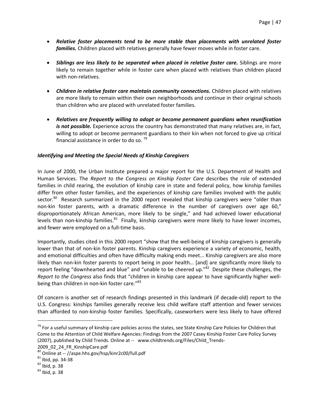- *Relative foster placements tend to be more stable than placements with unrelated foster families.* Children placed with relatives generally have fewer moves while in foster care.
- *Siblings are less likely to be separated when placed in relative foster care.* Siblings are more likely to remain together while in foster care when placed with relatives than children placed with non-relatives.
- *Children in relative foster care maintain community connections.* Children placed with relatives are more likely to remain within their own neighborhoods and continue in their original schools than children who are placed with unrelated foster families.
- *Relatives are frequently willing to adopt or become permanent guardians when reunification is not possible.* Experience across the country has demonstrated that many relatives are, in fact, willing to adopt or become permanent guardians to their kin when not forced to give up critical financial assistance in order to do so.  $79$

### *Identifying and Meeting the Special Needs of Kinship Caregivers*

In June of 2000, the Urban Institute prepared a major report for the U.S. Department of Health and Human Services. The *Report to the Congress on Kinship Foster Care* describes the role of extended families in child rearing, the evolution of kinship care in state and federal policy, how kinship families differ from other foster families, and the experiences of kinship care families involved with the public sector.<sup>80</sup> Research summarized in the 2000 report revealed that kinship caregivers were "older than non-kin foster parents, with a dramatic difference in the number of caregivers over age 60," disproportionately African American, more likely to be single," and had achieved lower educational levels than non-kinship families.<sup>81</sup> Finally, kinship caregivers were more likely to have lower incomes, and fewer were employed on a full-time basis.

Importantly, studies cited in this 2000 report "show that the well-being of kinship caregivers is generally lower than that of non-kin foster parents. Kinship caregivers experience a variety of economic, health, and emotional difficulties and often have difficulty making ends meet... Kinship caregivers are also more likely than non‐kin foster parents to report being in poor health… [and] are significantly more likely to report feeling "downhearted and blue" and "unable to be cheered up."<sup>82</sup> Despite these challenges, the *Report to the Congress* also finds that "children in kinship care appear to have significantly higher well‐ being than children in non-kin foster care."<sup>83</sup>

Of concern is another set of research findings presented in this landmark (if decade‐old) report to the U.S. Congress: kinships families generally receive less child welfare staff attention and fewer services than afforded to non‐kinship foster families. Specifically, caseworkers were less likely to have offered

<sup>&</sup>lt;sup>79</sup> For a useful summary of kinship care policies across the states, see State Kinship Care Policies for Children that Come to the Attention of Child Welfare Agencies: Findings from the 2007 Casey Kinship Foster Care Policy Survey (2007), published by Child Trends. Online at -- www.childtrends.org/Files/Child\_Trends-

<sup>2009</sup>\_02\_24\_FR\_KinshipCare.pdf

<sup>&</sup>lt;sup>80</sup> Online at -- //aspe.hhs.gov/hsp/kinr2c00/full.pdf<br><sup>81</sup> Ibid, pp. 34-38<br><sup>82</sup> Ibid, p. 38<br><sup>83</sup> Ibid, p. 38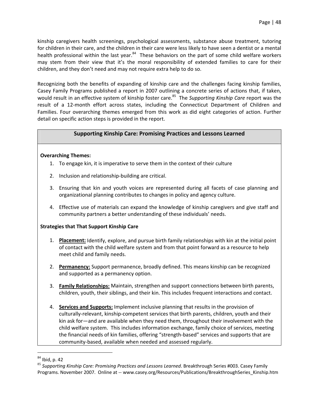kinship caregivers health screenings, psychological assessments, substance abuse treatment, tutoring for children in their care, and the children in their care were less likely to have seen a dentist or a mental health professional within the last year.<sup>84</sup> These behaviors on the part of some child welfare workers may stem from their view that it's the moral responsibility of extended families to care for their children, and they don't need and may not require extra help to do so.

Recognizing both the benefits of expanding of kinship care and the challenges facing kinship families, Casey Family Programs published a report in 2007 outlining a concrete series of actions that, if taken, would result in an effective system of kinship foster care.<sup>85</sup> The *Supporting Kinship Care* report was the result of a 12‐month effort across states, including the Connecticut Department of Children and Families. Four overarching themes emerged from this work as did eight categories of action. Further detail on specific action steps is provided in the report.

### **Supporting Kinship Care: Promising Practices and Lessons Learned**

#### **Overarching Themes:**

- 1. To engage kin, it is imperative to serve them in the context of their culture
- 2. Inclusion and relationship‐building are critical.
- 3. Ensuring that kin and youth voices are represented during all facets of case planning and organizational planning contributes to changes in policy and agency culture.
- 4. Effective use of materials can expand the knowledge of kinship caregivers and give staff and community partners a better understanding of these individuals' needs.

### **Strategies that That Support Kinship Care**

- 1. **Placement:** Identify, explore, and pursue birth family relationships with kin at the initial point of contact with the child welfare system and from that point forward as a resource to help meet child and family needs.
- 2. **Permanency:** Support permanence, broadly defined. This means kinship can be recognized and supported as a permanency option.
- 3. **Family Relationships:** Maintain, strengthen and support connections between birth parents, children, youth, their siblings, and their kin. This includes frequent interactions and contact.
- 4. **Services and Supports:** Implement inclusive planning that results in the provision of culturally‐relevant, kinship‐competent services that birth parents, children, youth and their kin ask for—and are available when they need them, throughout their involvement with the child welfare system. This includes information exchange, family choice of services, meeting the financial needs of kin families, offering "strength-based" services and supports that are community‐based, available when needed and assessed regularly.

<sup>84</sup> Ibid, p. <sup>42</sup> <sup>85</sup> *Supporting Kinship Care: Promising Practices and Lessons Learned*. Breakthrough Series #003. Casey Family Programs. November 2007. Online at -- www.casey.org/Resources/Publications/BreakthroughSeries\_Kinship.htm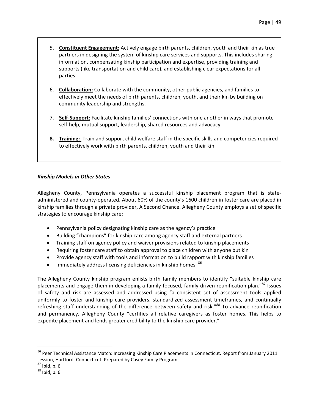- 5. **Constituent Engagement:** Actively engage birth parents, children, youth and their kin as true partners in designing the system of kinship care services and supports. This includes sharing information, compensating kinship participation and expertise, providing training and supports (like transportation and child care), and establishing clear expectations for all parties.
- 6. **Collaboration:** Collaborate with the community, other public agencies, and families to effectively meet the needs of birth parents, children, youth, and their kin by building on community leadership and strengths.
- 7. **Self‐Support:** Facilitate kinship families' connections with one another in ways that promote self-help, mutual support, leadership, shared resources and advocacy.
- **8. Training:** Train and support child welfare staff in the specific skills and competencies required to effectively work with birth parents, children, youth and their kin.

## *Kinship Models in Other States*

Allegheny County, Pennsylvania operates a successful kinship placement program that is state‐ administered and county-operated. About 60% of the county's 1600 children in foster care are placed in kinship families through a private provider, A Second Chance. Allegheny County employs a set of specific strategies to encourage kinship care:

- Pennsylvania policy designating kinship care as the agency's practice
- Building "champions" for kinship care among agency staff and external partners
- Training staff on agency policy and waiver provisions related to kinship placements
- Requiring foster care staff to obtain approval to place children with anyone but kin
- Provide agency staff with tools and information to build rapport with kinship families
- Immediately address licensing deficiencies in kinship homes.  $86$

The Allegheny County kinship program enlists birth family members to identify "suitable kinship care placements and engage them in developing a family-focused, family-driven reunification plan."<sup>87</sup> Issues of safety and risk are assessed and addressed using "a consistent set of assessment tools applied uniformly to foster and kinship care providers, standardized assessment timeframes, and continually refreshing staff understanding of the difference between safety and risk."<sup>88</sup> To advance reunification and permanency, Allegheny County "certifies all relative caregivers as foster homes. This helps to expedite placement and lends greater credibility to the kinship care provider."

<sup>&</sup>lt;sup>86</sup> Peer Technical Assistance Match: Increasing Kinship Care Placements in Connecticut. Report from January 2011 session, Hartford, Connecticut. Prepared by Casey Family Programs <sup>87</sup> Ibid, p. 6<br><sup>88</sup> Ibid, p. 6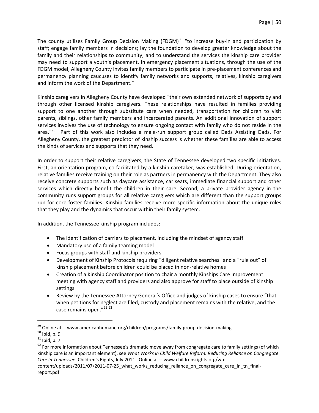The county utilizes Family Group Decision Making (FDGM)<sup>89</sup> "to increase buy-in and participation by staff; engage family members in decisions; lay the foundation to develop greater knowledge about the family and their relationships to community; and to understand the services the kinship care provider may need to support a youth's placement. In emergency placement situations, through the use of the FDGM model, Allegheny County invites family members to participate in pre-placement conferences and permanency planning caucuses to identify family networks and supports, relatives, kinship caregivers and inform the work of the Department."

Kinship caregivers in Allegheny County have developed "their own extended network of supports by and through other licensed kinship caregivers. These relationships have resulted in families providing support to one another through substitute care when needed, transportation for children to visit parents, siblings, other family members and incarcerated parents. An additional innovation of support services involves the use of technology to ensure ongoing contact with family who do not reside in the area."<sup>90</sup> Part of this work also includes a male-run support group called Dads Assisting Dads. For Allegheny County, the greatest predictor of kinship success is whether these families are able to access the kinds of services and supports that they need.

In order to support their relative caregivers, the State of Tennessee developed two specific initiatives. First, an orientation program, co-facilitated by a kinship caretaker, was established. During orientation, relative families receive training on their role as partners in permanency with the Department. They also receive concrete supports such as daycare assistance, car seats, immediate financial support and other services which directly benefit the children in their care. Second, a private provider agency in the community runs support groups for all relative caregivers which are different than the support groups run for core foster families. Kinship families receive more specific information about the unique roles that they play and the dynamics that occur within their family system.

In addition, the Tennessee kinship program includes:

- The identification of barriers to placement, including the mindset of agency staff
- Mandatory use of a family teaming model
- Focus groups with staff and kinship providers
- Development of Kinship Protocols requiring "diligent relative searches" and a "rule out" of kinship placement before children could be placed in non‐relative homes
- Creation of a Kinship Coordinator position to chair a monthly Kinships Care Improvement meeting with agency staff and providers and also approve for staff to place outside of kinship settings
- Review by the Tennessee Attorney General's Office and judges of kinship cases to ensure "that when petitions for neglect are filed, custody and placement remains with the relative, and the case remains open."<sup>91</sup> <sup>92</sup>

<sup>&</sup>lt;sup>89</sup> Online at -- www.americanhumane.org/children/programs/family-group-decision-making<br><sup>90</sup> Ibid, p. 9<br><sup>91</sup> Ibid, p. 7<br><sup>92</sup> For more information about Tennessee's dramatic move away from congregate care to family setting kinship care is an important element), see *What Works in Child Welfare Reform: Reducing Reliance on Congregate Care in Tennessee*. Children's Rights, July 2011. Online at ‐‐ www.childrensrights.org/wp‐

content/uploads/2011/07/2011‐07‐25\_what\_works\_reducing\_reliance\_on\_congregate\_care\_in\_tn\_finalreport.pdf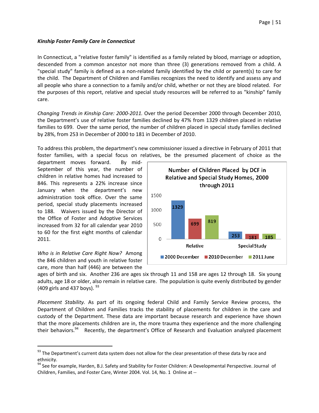#### *Kinship Foster Family Care in Connecticut*

In Connecticut, a "relative foster family" is identified as a family related by blood, marriage or adoption, descended from a common ancestor not more than three (3) generations removed from a child. A "special study" family is defined as a non‐related family identified by the child or parent(s) to care for the child. The Department of Children and Families recognizes the need to identify and assess any and all people who share a connection to a family and/or child, whether or not they are blood related. For the purposes of this report, relative and special study resources will be referred to as "kinship" family care.

*Changing Trends in Kinship Care: 2000‐2011.* Over the period December 2000 through December 2010, the Department's use of relative foster families declined by 47% from 1329 children placed in relative families to 699. Over the same period, the number of children placed in special study families declined by 28%, from 253 in December of 2000 to 181 in December of 2010.

To address this problem, the department's new commissioner issued a directive in February of 2011 that foster families, with a special focus on relatives, be the presumed placement of choice as the

department moves forward. By mid-September of this year, the number of children in relative homes had increased to 846. This represents a 22% increase since January when the department's new administration took office. Over the same period, special study placements increased to 188. Waivers issued by the Director of the Office of Foster and Adoptive Services increased from 32 for all calendar year 2010 to 60 for the first eight months of calendar 2011.

*Who is in Relative Care Right Now?* Among the 846 children and youth in relative foster care, more than half (446) are between the



ages of birth and six. Another 236 are ages six through 11 and 158 are ages 12 through 18. Six young adults, age 18 or older, also remain in relative care. The population is quite evenly distributed by gender (409 girls and 437 boys).  $93$ 

*Placement Stability.* As part of its ongoing federal Child and Family Service Review process, the Department of Children and Families tracks the stability of placements for children in the care and custody of the Department. These data are important because research and experience have shown that the more placements children are in, the more trauma they experience and the more challenging their behaviors.<sup>94</sup> Recently, the department's Office of Research and Evaluation analyzed placement

<sup>&</sup>lt;sup>93</sup> The Department's current data system does not allow for the clear presentation of these data by race and

ethnicity.<br><sup>94</sup> See for example, Harden, B.J. Safety and Stability for Foster Children: A Developmental Perspective. Journal of Children, Families, and Foster Care, Winter 2004. Vol. 14, No. 1 Online at ‐‐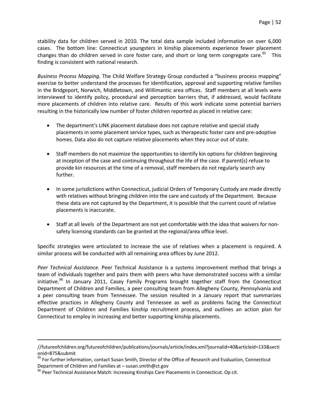stability data for children served in 2010. The total data sample included information on over 6,000 cases. The bottom line: Connecticut youngsters in kinship placements experience fewer placement changes than do children served in core foster care, and short or long term congregate care.<sup>95</sup> This finding is consistent with national research.

*Business Process Mapping.* The Child Welfare Strategy Group conducted a "business process mapping" exercise to better understand the processes for identification, approval and supporting relative families in the Bridgeport, Norwich, Middletown, and Willimantic area offices. Staff members at all levels were interviewed to identify policy, procedural and perception barriers that, if addressed, would facilitate more placements of children into relative care. Results of this work indicate some potential barriers resulting in the historically low number of foster children reported as placed in relative care:

- The department's LINK placement database does not capture relative and special study placements in some placement service types, such as therapeutic foster care and pre‐adoptive homes. Data also do not capture relative placements when they occur out of state.
- Staff members do not maximize the opportunities to identify kin options for children beginning at inception of the case and continuing throughout the life of the case. If parent(s) refuse to provide kin resources at the time of a removal, staff members do not regularly search any further.
- In some jurisdictions within Connecticut, judicial Orders of Temporary Custody are made directly with relatives without bringing children into the care and custody of the Department. Because these data are not captured by the Department, it is possible that the current count of relative placements is inaccurate.
- Staff at all levels of the Department are not yet comfortable with the idea that waivers for nonsafety licensing standards can be granted at the regional/area office level.

Specific strategies were articulated to increase the use of relatives when a placement is required. A similar process will be conducted with all remaining area offices by June 2012.

*Peer Technical Assistance.* Peer Technical Assistance is a systems improvement method that brings a team of individuals together and pairs them with peers who have demonstrated success with a similar initiative.<sup>96</sup> In January 2011, Casey Family Programs brought together staff from the Connecticut Department of Children and Families, a peer consulting team from Allegheny County, Pennsylvania and a peer consulting team from Tennessee. The session resulted in a January report that summarizes effective practices in Allegheny County and Tennessee as well as problems facing the Connecticut Department of Children and Families kinship recruitment process, and outlines an action plan for Connecticut to employ in increasing and better supporting kinship placements.

<u> Andrewski politika (za obrazu za obrazu za obrazu za obrazu za obrazu za obrazu za obrazu za obrazu za obrazu</u>

<sup>//</sup>futureofchildren.org/futureofchildren/publications/journals/article/index.xml?journalid=40&articleid=133&secti onid=875&submit

<sup>&</sup>lt;sup>95</sup> For further information, contact Susan Smith, Director of the Office of Research and Evaluation, Connecticut Department of Children and Families at – susan.smith@ct.gov<br><sup>96</sup> Peer Technical Assistance Match: Increasing Kinships Care Placements in Connecticut. Op cit.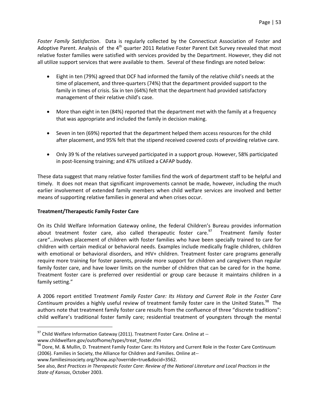*Foster Family Satisfaction*. Data is regularly collected by the Connecticut Association of Foster and Adoptive Parent. Analysis of the 4<sup>th</sup> quarter 2011 Relative Foster Parent Exit Survey revealed that most relative foster families were satisfied with services provided by the Department. However, they did not all utilize support services that were available to them. Several of these findings are noted below:

- Eight in ten (79%) agreed that DCF had informed the family of the relative child's needs at the time of placement, and three‐quarters (74%) that the department provided support to the family in times of crisis. Six in ten (64%) felt that the department had provided satisfactory management of their relative child's case.
- More than eight in ten (84%) reported that the department met with the family at a frequency that was appropriate and included the family in decision making.
- Seven in ten (69%) reported that the department helped them access resources for the child after placement, and 95% felt that the stipend received covered costs of providing relative care.
- Only 39 % of the relatives surveyed participated in a support group. However, 58% participated in post‐licensing training; and 47% utilized a CAFAP buddy.

These data suggest that many relative foster families find the work of department staff to be helpful and timely. It does not mean that significant improvements cannot be made, however, including the much earlier involvement of extended family members when child welfare services are involved and better means of supporting relative families in general and when crises occur.

## **Treatment/Therapeutic Family Foster Care**

On its Child Welfare Information Gateway online, the federal Children's Bureau provides information about treatment foster care, also called therapeutic foster care. $97$  Treatment family foster care"…involves placement of children with foster families who have been specially trained to care for children with certain medical or behavioral needs. Examples include medically fragile children, children with emotional or behavioral disorders, and HIV+ children. Treatment foster care programs generally require more training for foster parents, provide more support for children and caregivers than regular family foster care, and have lower limits on the number of children that can be cared for in the home. Treatment foster care is preferred over residential or group care because it maintains children in a family setting."

A 2006 report entitled T*reatment Family Foster Care: Its History and Current Role in the Foster Care* Continuum provides a highly useful review of treatment family foster care in the United States.<sup>98</sup> The authors note that treatment family foster care results from the confluence of three "discrete traditions": child welfare's traditional foster family care; residential treatment of youngsters through the mental

www.familiesinsociety.org/Show.asp?override=true&docid=3562.

<sup>97</sup> Child Welfare Information Gateway (2011). Treatment Foster Care. Online at --

www.childwelfare.gov/outofhome/types/treat\_foster.cfm<br><sup>98</sup> Dore, M. & Mullin, D. Treatment Family Foster Care: Its History and Current Role in the Foster Care Continuum (2006). Families in Society, the Alliance for Children and Families. Online at‐‐

See also, Best Practices in Therapeutic Foster Care: Review of the National Literature and Local Practices in the *State of Kansas*, October 2003.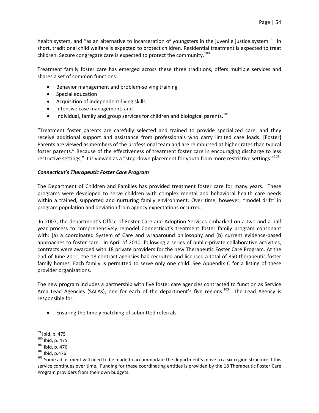health system, and "as an alternative to incarceration of youngsters in the juvenile justice system.<sup>99</sup> In short, traditional child welfare is expected to protect children. Residential treatment is expected to treat children. Secure congregate care is expected to protect the community.<sup>100</sup>

Treatment family foster care has emerged across these three traditions, offers multiple services and shares a set of common functions:

- Behavior management and problem‐solving training
- Special education
- Acquisition of independent‐living skills
- Intensive case management, and
- Individual, family and group services for children and biological parents.<sup>101</sup>

"Treatment foster parents are carefully selected and trained to provide specialized care, and they receive additional support and assistance from professionals who carry limited case loads. [Foster] Parents are viewed as members of the professional team and are reimbursed at higher rates than typical foster parents." Because of the effectiveness of treatment foster care in encouraging discharge to less restrictive settings," it is viewed as a "step-down placement for youth from more restrictive settings."<sup>102</sup>

#### *Connecticut's Therapeutic Foster Care Program*

The Department of Children and Families has provided treatment foster care for many years. These programs were developed to serve children with complex mental and behavioral health care needs within a trained, supported and nurturing family environment. Over time, however, "model drift" in program population and deviation from agency expectations occurred.

In 2007, the department's Office of Foster Care and Adoption Services embarked on a two and a half year process to comprehensively remodel Connecticut's treatment foster family program consonant with: (a) a coordinated System of Care and wraparound philosophy and (b) current evidence-based approaches to foster care. In April of 2010, following a series of public‐private collaborative activities, contracts were awarded with 18 private providers for the new Therapeutic Foster Care Program. At the end of June 2011, the 18 contract agencies had recruited and licensed a total of 850 therapeutic foster family homes. Each family is permitted to serve only one child. See Appendix C for a listing of these provider organizations.

The new program includes a partnership with five foster care agencies contracted to function as Service Area Lead Agencies (SALAs), one for each of the department's five regions.<sup>103</sup> The Lead Agency is responsible for:

• Ensuring the timely matching of submitted referrals

<sup>&</sup>lt;sup>99</sup> Ibid, p. 475<br><sup>100</sup> Ibid, p. 475<br><sup>102</sup> Ibid, p. 476<br><sup>102</sup> Ibid, p.476<br><sup>103</sup> Some adjustment will need to be made to accommodate the department's move to a six-region structure if this service continues over time. Funding for these coordinating entities is provided by the 18 Therapeutic Foster Care Program providers from their own budgets.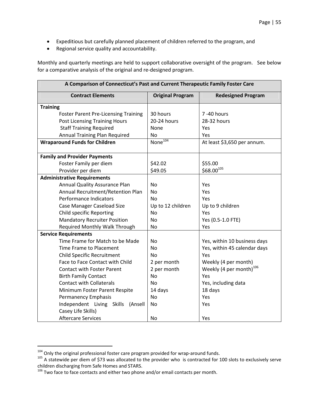- Expeditious but carefully planned placement of children referred to the program, and
- Regional service quality and accountability.

Monthly and quarterly meetings are held to support collaborative oversight of the program. See below for a comparative analysis of the original and re‐designed program.

| A Comparison of Connecticut's Past and Current Therapeutic Family Foster Care |                         |                                     |  |
|-------------------------------------------------------------------------------|-------------------------|-------------------------------------|--|
| <b>Contract Elements</b>                                                      | <b>Original Program</b> | <b>Redesigned Program</b>           |  |
| <b>Training</b>                                                               |                         |                                     |  |
| <b>Foster Parent Pre-Licensing Training</b>                                   | 30 hours                | 7-40 hours                          |  |
| <b>Post Licensing Training Hours</b>                                          | 20-24 hours             | 28-32 hours                         |  |
| <b>Staff Training Required</b>                                                | None                    | Yes                                 |  |
| <b>Annual Training Plan Required</b>                                          | No                      | Yes                                 |  |
| <b>Wraparound Funds for Children</b>                                          | None <sup>104</sup>     | At least \$3,650 per annum.         |  |
| <b>Family and Provider Payments</b>                                           |                         |                                     |  |
| Foster Family per diem                                                        | \$42.02                 | \$55.00                             |  |
| Provider per diem                                                             | \$49.05                 | \$68.00105                          |  |
| <b>Administrative Requirements</b>                                            |                         |                                     |  |
| Annual Quality Assurance Plan                                                 | <b>No</b>               | Yes                                 |  |
| Annual Recruitment/Retention Plan                                             | <b>No</b>               | Yes                                 |  |
| Performance Indicators                                                        | No                      | Yes                                 |  |
| <b>Case Manager Caseload Size</b>                                             | Up to 12 children       | Up to 9 children                    |  |
| <b>Child specific Reporting</b>                                               | <b>No</b>               | Yes                                 |  |
| <b>Mandatory Recruiter Position</b>                                           | <b>No</b>               | Yes (0.5-1.0 FTE)                   |  |
| Required Monthly Walk Through                                                 | No                      | Yes                                 |  |
| <b>Service Requirements</b>                                                   |                         |                                     |  |
| Time Frame for Match to be Made                                               | <b>No</b>               | Yes, within 10 business days        |  |
| Time Frame to Placement                                                       | <b>No</b>               | Yes, within 45 calendar days        |  |
| <b>Child Specific Recruitment</b>                                             | No                      | Yes                                 |  |
| Face to Face Contact with Child                                               | 2 per month             | Weekly (4 per month)                |  |
| <b>Contact with Foster Parent</b>                                             | 2 per month             | Weekly (4 per month) <sup>106</sup> |  |
| <b>Birth Family Contact</b>                                                   | <b>No</b>               | Yes                                 |  |
| <b>Contact with Collaterals</b>                                               | <b>No</b>               | Yes, including data                 |  |
| Minimum Foster Parent Respite                                                 | 14 days                 | 18 days                             |  |
| Permanency Emphasis                                                           | <b>No</b>               | Yes                                 |  |
| Independent Living Skills<br>(Ansell                                          | <b>No</b>               | Yes                                 |  |
| Casey Life Skills)                                                            |                         |                                     |  |
| <b>Aftercare Services</b>                                                     | <b>No</b>               | Yes                                 |  |

<sup>&</sup>lt;sup>104</sup> Only the original professional foster care program provided for wrap-around funds.<br><sup>105</sup> A statewide per diem of \$73 was allocated to the provider who is contracted for 100 slots to exclusively serve children discharging from Safe Homes and STARS.<br><sup>106</sup> Two face to face contacts and either two phone and/or email contacts per month.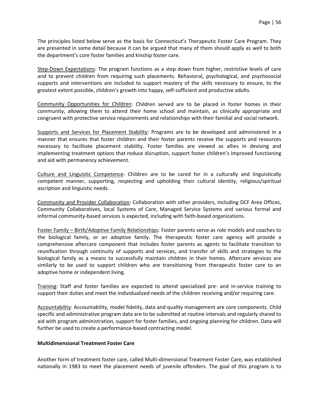The principles listed below serve as the basis for Connecticut's Therapeutic Foster Care Program. They are presented in some detail because it can be argued that many of them should apply as well to both the department's core foster families and kinship foster care.

Step-Down Expectations: The program functions as a step down from higher, restrictive levels of care and to prevent children from requiring such placements. Behavioral, psychological, and psychosocial supports and interventions are included to support mastery of the skills necessary to ensure, to the greatest extent possible, children's growth into happy, self‐sufficient and productive adults.

Community Opportunities for Children: Children served are to be placed in foster homes in their community, allowing them to attend their home school and maintain, as clinically appropriate and congruent with protective service requirements and relationships with their familial and social network.

Supports and Services for Placement Stability: Programs are to be developed and administered in a manner that ensures that foster children and their foster parents receive the supports and resources necessary to facilitate placement stability. Foster families are viewed as allies in devising and implementing treatment options that reduce disruption, support foster children's improved functioning and aid with permanency achievement.

Culture and Linguistic Competence: Children are to be cared for in a culturally and linguistically competent manner, supporting, respecting and upholding their cultural identity, religious/spiritual ascription and linguistic needs.

Community and Provider Collaboration: Collaboration with other providers, including DCF Area Offices, Community Collaboratives, local Systems of Care, Managed Service Systems and various formal and informal community-based services is expected, including with faith-based organizations.

Foster Family – Birth/Adoptive Family Relationships: Foster parents serve as role models and coaches to the biological family, or an adoptive family. The therapeutic foster care agency will provide a comprehensive aftercare component that includes foster parents as agents to facilitate transition to reunification through continuity of supports and services, and transfer of skills and strategies to the biological family as a means to successfully maintain children in their homes. Aftercare services are similarly to be used to support children who are transitioning from therapeutic foster care to an adoptive home or independent living.

Training: Staff and foster families are expected to attend specialized pre- and in-service training to support their duties and meet the individualized needs of the children receiving and/or requiring care.

Accountability: Accountability, model fidelity, data and quality management are core components. Child specific and administrative program data are to be submitted at routine intervals and regularly shared to aid with program administration, support for foster families, and ongoing planning for children. Data will further be used to create a performance‐based contracting model.

### **Multidimensional Treatment Foster Care**

Another form of treatment foster care, called Multi‐dimensional Treatment Foster Care, was established nationally in 1983 to meet the placement needs of juvenile offenders. The goal of this program is to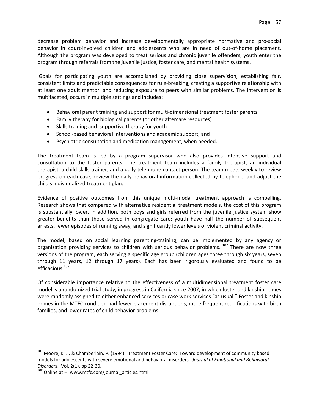decrease problem behavior and increase developmentally appropriate normative and pro‐social behavior in court-involved children and adolescents who are in need of out-of-home placement. Although the program was developed to treat serious and chronic juvenile offenders, youth enter the program through referrals from the juvenile justice, foster care, and mental health systems.

Goals for participating youth are accomplished by providing close supervision, establishing fair, consistent limits and predictable consequences for rule‐breaking, creating a supportive relationship with at least one adult mentor, and reducing exposure to peers with similar problems. The intervention is multifaceted, occurs in multiple settings and includes:

- Behavioral parent training and support for multi‐dimensional treatment foster parents
- Family therapy for biological parents (or other aftercare resources)
- Skills training and supportive therapy for youth
- School‐based behavioral interventions and academic support, and
- Psychiatric consultation and medication management, when needed.

The treatment team is led by a program supervisor who also provides intensive support and consultation to the foster parents. The treatment team includes a family therapist, an individual therapist, a child skills trainer, and a daily telephone contact person. The team meets weekly to review progress on each case, review the daily behavioral information collected by telephone, and adjust the child's individualized treatment plan.

Evidence of positive outcomes from this unique multi‐modal treatment approach is compelling. Research shows that compared with alternative residential treatment models, the cost of this program is substantially lower. In addition, both boys and girls referred from the juvenile justice system show greater benefits than those served in congregate care; youth have half the number of subsequent arrests, fewer episodes of running away, and significantly lower levels of violent criminal activity.

The model, based on social learning parenting‐training, can be implemented by any agency or organization providing services to children with serious behavior problems. <sup>107</sup> There are now three versions of the program, each serving a specific age group (children ages three through six years, seven through 11 years, 12 through 17 years). Each has been rigorously evaluated and found to be efficacious.<sup>108</sup>

Of considerable importance relative to the effectiveness of a multidimensional treatment foster care model is a randomized trial study, in progress in California since 2007, in which foster and kinship homes were randomly assigned to either enhanced services or case work services "as usual." Foster and kinship homes in the MTFC condition had fewer placement disruptions, more frequent reunifications with birth families, and lower rates of child behavior problems.

<sup>&</sup>lt;sup>107</sup> Moore, K. J., & Chamberlain, P. (1994). Treatment Foster Care: Toward development of community based models for adolescents with severe emotional and behavioral disorders. *Journal of Emotional and Behavioral* Disorders. Vol. 2(1). pp 22-30.<br><sup>108</sup> Online at -- www.mtfc.com/journal\_articles.html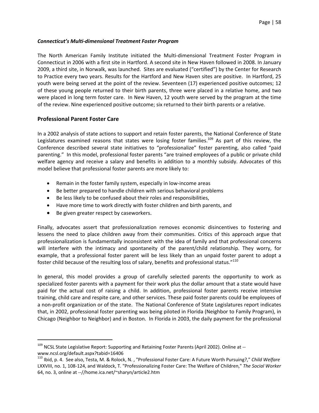#### *Connecticut's Multi‐dimensional Treatment Foster Program*

The North American Family Institute initiated the Multi‐dimensional Treatment Foster Program in Connecticut in 2006 with a first site in Hartford. A second site in New Haven followed in 2008. In January 2009, a third site, in Norwalk, was launched. Sites are evaluated ("certified") by the Center for Research to Practice every two years. Results for the Hartford and New Haven sites are positive. In Hartford, 25 youth were being served at the point of the review. Seventeen (17) experienced positive outcomes; 12 of these young people returned to their birth parents, three were placed in a relative home, and two were placed in long term foster care. In New Haven, 12 youth were served by the program at the time of the review. Nine experienced positive outcome; six returned to their birth parents or a relative.

### **Professional Parent Foster Care**

In a 2002 analysis of state actions to support and retain foster parents, the National Conference of State Legislatures examined reasons that states were losing foster families.<sup>109</sup> As part of this review, the Conference described several state initiatives to "professionalize" foster parenting, also called "paid parenting." In this model, professional foster parents "are trained employees of a public or private child welfare agency and receive a salary and benefits in addition to a monthly subsidy. Advocates of this model believe that professional foster parents are more likely to:

- Remain in the foster family system, especially in low‐income areas
- Be better prepared to handle children with serious behavioral problems
- Be less likely to be confused about their roles and responsibilities,
- Have more time to work directly with foster children and birth parents, and
- Be given greater respect by caseworkers.

Finally, advocates assert that professionalization removes economic disincentives to fostering and lessens the need to place children away from their communities. Critics of this approach argue that professionalization is fundamentally inconsistent with the idea of family and that professional concerns will interfere with the intimacy and spontaneity of the parent/child relationship. They worry, for example, that a professional foster parent will be less likely than an unpaid foster parent to adopt a foster child because of the resulting loss of salary, benefits and professional status."<sup>110</sup>

In general, this model provides a group of carefully selected parents the opportunity to work as specialized foster parents with a payment for their work plus the dollar amount that a state would have paid for the actual cost of raising a child. In addition, professional foster parents receive intensive training, child care and respite care, and other services. These paid foster parents could be employees of a non‐profit organization or of the state. The National Conference of State Legislatures report indicates that, in 2002, professional foster parenting was being piloted in Florida (Neighbor to Family Program), in Chicago (Neighbor to Neighbor) and in Boston. In Florida in 2003, the daily payment for the professional

<sup>109</sup> NCSL State Legislative Report: Supporting and Retaining Foster Parents (April 2002). Online at -www.ncsl.org/default.aspx?tabid=16406

<sup>110</sup> Ibid, p. 4. See also, Testa, M. & Rolock, N. , "Professional Foster Care: A Future Worth Pursuing?," *Child Welfare* LXXVIII, no. 1, 108‐124, and Waldock, T. "Professionalizing Foster Care: The Welfare of Children," *The Social Worker* 64, no. 3, online at ‐‐//home.ica.net/~sharyn/article2.htm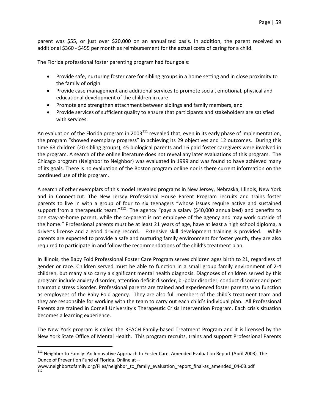parent was \$55, or just over \$20,000 on an annualized basis. In addition, the parent received an additional \$360 ‐ \$455 per month as reimbursement for the actual costs of caring for a child.

The Florida professional foster parenting program had four goals:

- Provide safe, nurturing foster care for sibling groups in a home setting and in close proximity to the family of origin
- Provide case management and additional services to promote social, emotional, physical and educational development of the children in care
- Promote and strengthen attachment between siblings and family members, and
- Provide services of sufficient quality to ensure that participants and stakeholders are satisfied with services.

An evaluation of the Florida program in 2003 $^{111}$  revealed that, even in its early phase of implementation, the program "showed exemplary progress" in achieving its 29 objectives and 12 outcomes. During this time 68 children (20 sibling groups), 45 biological parents and 16 paid foster caregivers were involved in the program. A search of the online literature does not reveal any later evaluations of this program. The Chicago program (Neighbor to Neighbor) was evaluated in 1999 and was found to have achieved many of its goals. There is no evaluation of the Boston program online nor is there current information on the continued use of this program.

A search of other exemplars of this model revealed programs in New Jersey, Nebraska, Illinois, New York and in Connecticut. The New Jersey Professional House Parent Program recruits and trains foster parents to live in with a group of four to six teenagers "whose issues require active and sustained support from a therapeutic team." $112$  The agency "pays a salary (\$40,000 annualized) and benefits to one stay-at-home parent, while the co-parent is not employee of the agency and may work outside of the home." Professional parents must be at least 21 years of age, have at least a high school diploma, a driver's license and a good driving record. Extensive skill development training is provided. While parents are expected to provide a safe and nurturing family environment for foster youth, they are also required to participate in and follow the recommendations of the child's treatment plan.

In Illinois, the Baby Fold Professional Foster Care Program serves children ages birth to 21, regardless of gender or race. Children served must be able to function in a small group family environment of 2‐4 children, but many also carry a significant mental health diagnosis. Diagnoses of children served by this program include anxiety disorder, attention deficit disorder, bi‐polar disorder, conduct disorder and post traumatic stress disorder. Professional parents are trained and experienced foster parents who function as employees of the Baby Fold agency. They are also full members of the child's treatment team and they are responsible for working with the team to carry out each child's individual plan. All Professional Parents are trained in Cornell University's Therapeutic Crisis Intervention Program. Each crisis situation becomes a learning experience.

The New York program is called the REACH Family‐based Treatment Program and it is licensed by the New York State Office of Mental Health. This program recruits, trains and support Professional Parents

<sup>&</sup>lt;sup>111</sup> Neighbor to Family: An Innovative Approach to Foster Care. Amended Evaluation Report (April 2003). The Ounce of Prevention Fund of Florida. Online at ‐‐

www.neighbortofamily.org/Files/neighbor\_to\_family\_evaluation\_report\_final-as\_amended\_04-03.pdf<br>112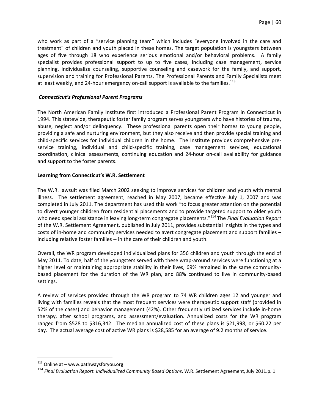who work as part of a "service planning team" which includes "everyone involved in the care and treatment" of children and youth placed in these homes. The target population is youngsters between ages of five through 18 who experience serious emotional and/or behavioral problems. A family specialist provides professional support to up to five cases, including case management, service planning, individualize counseling, supportive counseling and casework for the family, and support, supervision and training for Professional Parents. The Professional Parents and Family Specialists meet at least weekly, and 24-hour emergency on-call support is available to the families.<sup>113</sup>

### *Connecticut's Professional Parent Programs*

The North American Family Institute first introduced a Professional Parent Program in Connecticut in 1994. This statewide, therapeutic foster family program serves youngsters who have histories of trauma, abuse, neglect and/or delinquency. These professional parents open their homes to young people, providing a safe and nurturing environment, but they also receive and then provide special training and child-specific services for individual children in the home. The Institute provides comprehensive preservice training, individual and child‐specific training, case management services, educational coordination, clinical assessments, continuing education and 24‐hour on‐call availability for guidance and support to the foster parents.

#### **Learning from Connecticut's W.R. Settlement**

The W.R. lawsuit was filed March 2002 seeking to improve services for children and youth with mental illness. The settlement agreement, reached in May 2007, became effective July 1, 2007 and was completed in July 2011. The department has used this work "to focus greater attention on the potential to divert younger children from residential placements and to provide targeted support to older youth who need special assistance in leaving long‐term congregate placements."<sup>114</sup> The *Final Evaluation Report* of the W.R. Settlement Agreement, published in July 2011, provides substantial insights in the types and costs of in-home and community services needed to avert congregate placement and support families – including relative foster families ‐‐ in the care of their children and youth.

Overall, the WR program developed individualized plans for 356 children and youth through the end of May 2011. To date, half of the youngsters served with these wrap-around services were functioning at a higher level or maintaining appropriate stability in their lives, 69% remained in the same communitybased placement for the duration of the WR plan, and 88% continued to live in community-based settings.

A review of services provided through the WR program to 74 WR children ages 12 and younger and living with families reveals that the most frequent services were therapeutic support staff (provided in 52% of the cases) and behavior management (42%). Other frequently utilized services include in-home therapy, after school programs, and assessment/evaluation. Annualized costs for the WR program ranged from \$528 to \$316,342. The median annualized cost of these plans is \$21,998, or \$60.22 per day. The actual average cost of active WR plans is \$28,585 for an average of 9.2 months of service.

 $113$  Online at – www.pathwaysforyou.org

<sup>114</sup> *Final Evaluation Report. Individualized Community Based Options*. W.R. Settlement Agreement, July 2011.p. 1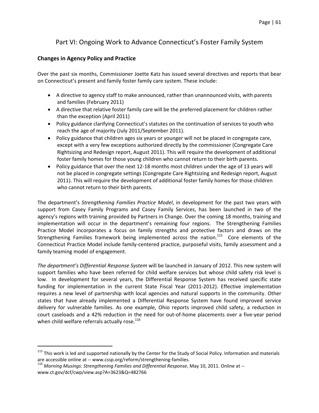# Part VI: Ongoing Work to Advance Connecticut's Foster Family System

# **Changes in Agency Policy and Practice**

Over the past six months, Commissioner Joette Katz has issued several directives and reports that bear on Connecticut's present and family foster family care system. These include:

- A directive to agency staff to make announced, rather than unannounced visits, with parents and families (February 2011)
- A directive that relative foster family care will be the preferred placement for children rather than the exception (April 2011)
- Policy guidance clarifying Connecticut's statutes on the continuation of services to youth who reach the age of majority (July 2011/September 2011).
- Policy guidance that children ages six years or younger will not be placed in congregate care, except with a very few exceptions authorized directly by the commissioner (Congregate Care Rightsizing and Redesign report, August 2011). This will require the development of additional foster family homes for those young children who cannot return to their birth parents.
- Policy guidance that over the next 12-18 months most children under the age of 13 years will not be placed in congregate settings (Congregate Care Rightsizing and Redesign report, August 2011). This will require the development of additional foster family homes for those children who cannot return to their birth parents.

The department's *Strengthening Families Practice Model*, in development for the past two years with support from Casey Family Programs and Casey Family Services, has been launched in two of the agency's regions with training provided by Partners in Change. Over the coming 18 months, training and implementation will occur in the department's remaining four regions. The Strengthening Families Practice Model incorporates a focus on family strengths and protective factors and draws on the Strengthening Families framework being implemented across the nation.<sup>115</sup> Core elements of the Connecticut Practice Model include family‐centered practice, purposeful visits, family assessment and a family teaming model of engagement.

*The department's Differential Response System* will be launched in January of 2012. This new system will support families who have been referred for child welfare services but whose child safety risk level is low. In development for several years, the Differential Response System has received specific state funding for implementation in the current State Fiscal Year (2011-2012). Effective implementation requires a new level of partnership with local agencies and natural supports in the community. Other states that have already implemented a Differential Response System have found improved service delivery for vulnerable families. As one example, Ohio reports improved child safety, a reduction in court caseloads and a 42% reduction in the need for out‐of‐home placements over a five‐year period when child welfare referrals actually rose.<sup>116</sup>

<sup>&</sup>lt;sup>115</sup> This work is led and supported nationally by the Center for the Study of Social Policy. Information and materials are accessible online at -- www.cssp.org/reform/strengthening-families.

are accessible online at ‐‐ www.cssp.org/reform/strengthening‐families. <sup>116</sup> *Morning Musings: Strengthening Families and Differential Response*, May 10, 2011. Online at ‐‐ www.ct.gov/dcf/cwp/view.asp?A=3623&Q=482766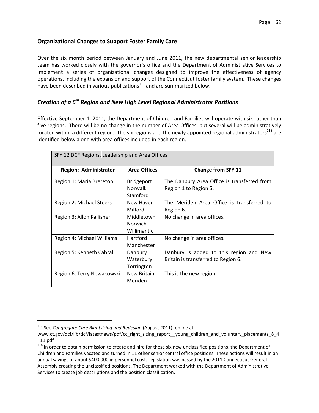# **Organizational Changes to Support Foster Family Care**

Over the six month period between January and June 2011, the new departmental senior leadership team has worked closely with the governor's office and the Department of Administrative Services to implement a series of organizational changes designed to improve the effectiveness of agency operations, including the expansion and support of the Connecticut foster family system. These changes have been described in various publications<sup>117</sup> and are summarized below.

# *Creation of a 6th Region and New High Level Regional Administrator Positions*

Effective September 1, 2011, the Department of Children and Families will operate with six rather than five regions. There will be no change in the number of Area Offices, but several will be administratively located within a different region. The six regions and the newly appointed regional administrators<sup>118</sup> are identified below along with area offices included in each region.

| SFY 12 DCF Regions, Leadership and Area Offices |                                                 |                                                                                |  |
|-------------------------------------------------|-------------------------------------------------|--------------------------------------------------------------------------------|--|
| Region: Administrator                           | <b>Area Offices</b>                             | <b>Change from SFY 11</b>                                                      |  |
| Region 1: Maria Brereton                        | <b>Bridgeport</b><br><b>Norwalk</b><br>Stamford | The Danbury Area Office is transferred from<br>Region 1 to Region 5.           |  |
| Region 2: Michael Steers                        | New Haven<br>Milford                            | The Meriden Area Office is transferred to<br>Region 6.                         |  |
| Region 3: Allon Kallisher                       | Middletown<br><b>Norwich</b><br>Willimantic     | No change in area offices.                                                     |  |
| Region 4: Michael Williams                      | <b>Hartford</b><br>Manchester                   | No change in area offices.                                                     |  |
| Region 5: Kenneth Cabral                        | Danbury<br>Waterbury<br>Torrington              | Danbury is added to this region and New<br>Britain is transferred to Region 6. |  |
| Region 6: Terry Nowakowski                      | New Britain<br>Meriden                          | This is the new region.                                                        |  |

<sup>117</sup> See *Congregate Care Rightsizing and Redesign* (August 2011), online at ‐‐

www.ct.gov/dcf/lib/dcf/latestnews/pdf/cc\_right\_sizing\_report\_\_young\_children\_and\_voluntary\_placements\_8\_4 \_11.pdf

<sup>118</sup> In order to obtain permission to create and hire for these six new unclassified positions, the Department of Children and Families vacated and turned in 11 other senior central office positions. These actions will result in an annual savings of about \$400,000 in personnel cost. Legislation was passed by the 2011 Connecticut General Assembly creating the unclassified positions. The Department worked with the Department of Administrative Services to create job descriptions and the position classification.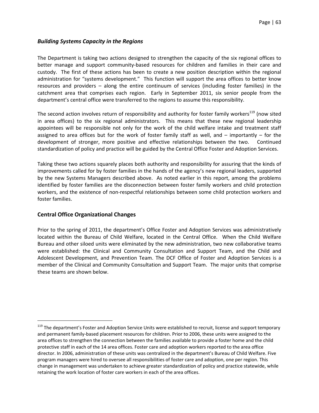### *Building Systems Capacity in the Regions*

The Department is taking two actions designed to strengthen the capacity of the six regional offices to better manage and support community-based resources for children and families in their care and custody. The first of these actions has been to create a new position description within the regional administration for "systems development." This function will support the area offices to better know resources and providers – along the entire continuum of services (including foster families) in the catchment area that comprises each region. Early in September 2011, six senior people from the department's central office were transferred to the regions to assume this responsibility.

The second action involves return of responsibility and authority for foster family workers<sup>119</sup> (now sited in area offices) to the six regional administrators. This means that these new regional leadership appointees will be responsible not only for the work of the child welfare intake and treatment staff assigned to area offices but for the work of foster family staff as well, and – importantly – for the development of stronger, more positive and effective relationships between the two. Continued standardization of policy and practice will be guided by the Central Office Foster and Adoption Services.

Taking these two actions squarely places both authority and responsibility for assuring that the kinds of improvements called for by foster families in the hands of the agency's new regional leaders, supported by the new Systems Managers described above. As noted earlier in this report, among the problems identified by foster families are the disconnection between foster family workers and child protection workers, and the existence of non-respectful relationships between some child protection workers and foster families.

### **Central Office Organizational Changes**

Prior to the spring of 2011, the department's Office Foster and Adoption Services was administratively located within the Bureau of Child Welfare, located in the Central Office. When the Child Welfare Bureau and other siloed units were eliminated by the new administration, two new collaborative teams were established: the Clinical and Community Consultation and Support Team, and the Child and Adolescent Development, and Prevention Team. The DCF Office of Foster and Adoption Services is a member of the Clinical and Community Consultation and Support Team. The major units that comprise these teams are shown below.

<sup>&</sup>lt;sup>119</sup> The department's Foster and Adoption Service Units were established to recruit, license and support temporary and permanent family‐based placement resources for children. Prior to 2006, these units were assigned to the area offices to strengthen the connection between the families available to provide a foster home and the child protective staff in each of the 14 area offices. Foster care and adoption workers reported to the area office director. In 2006, administration of these units was centralized in the department's Bureau of Child Welfare. Five program managers were hired to oversee all responsibilities of foster care and adoption, one per region. This change in management was undertaken to achieve greater standardization of policy and practice statewide, while retaining the work location of foster care workers in each of the area offices.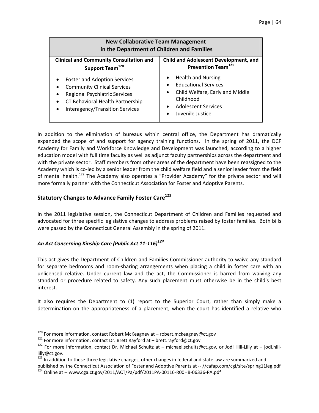| <b>New Collaborative Team Management</b><br>in the Department of Children and Families                                                                                                                                                 |                                                                                                                                                                         |  |
|----------------------------------------------------------------------------------------------------------------------------------------------------------------------------------------------------------------------------------------|-------------------------------------------------------------------------------------------------------------------------------------------------------------------------|--|
| <b>Clinical and Community Consultation and</b><br>Support Team <sup>120</sup>                                                                                                                                                          | Child and Adolescent Development, and<br>Prevention Team <sup>121</sup>                                                                                                 |  |
| <b>Foster and Adoption Services</b><br>$\bullet$<br><b>Community Clinical Services</b><br>$\bullet$<br><b>Regional Psychiatric Services</b><br>CT Behavioral Health Partnership<br>$\bullet$<br><b>Interagency/Transition Services</b> | <b>Health and Nursing</b><br><b>Educational Services</b><br>Child Welfare, Early and Middle<br>$\bullet$<br>Childhood<br><b>Adolescent Services</b><br>Juvenile Justice |  |

In addition to the elimination of bureaus within central office, the Department has dramatically expanded the scope of and support for agency training functions. In the spring of 2011, the DCF Academy for Family and Workforce Knowledge and Development was launched, according to a higher education model with full time faculty as well as adjunct faculty partnerships across the department and with the private sector. Staff members from other areas of the department have been reassigned to the Academy which is co‐led by a senior leader from the child welfare field and a senior leader from the field of mental health.<sup>122</sup> The Academy also operates a "Provider Academy" for the private sector and will more formally partner with the Connecticut Association for Foster and Adoptive Parents.

## **Statutory Changes to Advance Family Foster Care<sup>123</sup>**

In the 2011 legislative session, the Connecticut Department of Children and Families requested and advocated for three specific legislative changes to address problems raised by foster families. Both bills were passed by the Connecticut General Assembly in the spring of 2011.

# *An Act Concerning Kinship Care (Public Act 11‐116)124*

This act gives the Department of Children and Families Commissioner authority to waive any standard for separate bedrooms and room-sharing arrangements when placing a child in foster care with an unlicensed relative. Under current law and the act, the Commissioner is barred from waiving any standard or procedure related to safety. Any such placement must otherwise be in the child's best interest.

It also requires the Department to (1) report to the Superior Court, rather than simply make a determination on the appropriateness of a placement, when the court has identified a relative who

<sup>&</sup>lt;sup>120</sup> For more information, contact Robert McKeagney at – robert.mckeagney@ct.gov<br><sup>121</sup> For more information, contact Dr. Brett Rayford at – brett.rayford@ct.gov<br><sup>122</sup> For more information, contact Dr. Michael Schultz at lilly@ct.gov.

<sup>&</sup>lt;sup>123</sup> In addition to these three legislative changes, other changes in federal and state law are summarized and published by the Connecticut Association of Foster and Adoptive Parents at -- //cafap.com/cgi/site/spring11leg.pdf 124 Online at -- www.cga.ct.gov/2011/ACT/Pa/pdf/2011PA-00116-R00HB-06336-PA.pdf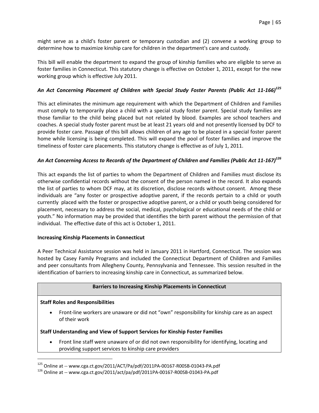might serve as a child's foster parent or temporary custodian and (2) convene a working group to determine how to maximize kinship care for children in the department's care and custody.

This bill will enable the department to expand the group of kinship families who are eligible to serve as foster families in Connecticut. This statutory change is effective on October 1, 2011, except for the new working group which is effective July 2011.

### *An Act Concerning Placement of Children with Special Study Foster Parents (Public Act 11‐166)<sup>125</sup>*

This act eliminates the minimum age requirement with which the Department of Children and Families must comply to temporarily place a child with a special study foster parent. Special study families are those familiar to the child being placed but not related by blood. Examples are school teachers and coaches. A special study foster parent must be at least 21 years old and not presently licensed by DCF to provide foster care. Passage of this bill allows children of any age to be placed in a special foster parent home while licensing is being completed. This will expand the pool of foster families and improve the timeliness of foster care placements. This statutory change is effective as of July 1, 2011.

## An Act Concerning Access to Records of the Department of Children and Families (Public Act 11-167)<sup>126</sup>

This act expands the list of parties to whom the Department of Children and Families must disclose its otherwise confidential records without the consent of the person named in the record. It also expands the list of parties to whom DCF may, at its discretion, disclose records without consent. Among these individuals are "any foster or prospective adoptive parent, if the records pertain to a child or youth currently placed with the foster or prospective adoptive parent, or a child or youth being considered for placement, necessary to address the social, medical, psychological or educational needs of the child or youth." No information may be provided that identifies the birth parent without the permission of that individual. The effective date of this act is October 1, 2011.

### **Increasing Kinship Placements in Connecticut**

A Peer Technical Assistance session was held in January 2011 in Hartford, Connecticut. The session was hosted by Casey Family Programs and included the Connecticut Department of Children and Families and peer consultants from Allegheny County, Pennsylvania and Tennessee. This session resulted in the identification of barriers to increasing kinship care in Connecticut, as summarized below.

### **Barriers to Increasing Kinship Placements in Connecticut**

#### **Staff Roles and Responsibilities**

• Front‐line workers are unaware or did not "own" responsibility for kinship care as an aspect of their work

### **Staff Understanding and View of Support Services for Kinship Foster Families**

• Front line staff were unaware of or did not own responsibility for identifying, locating and providing support services to kinship care providers

<sup>&</sup>lt;sup>125</sup> Online at -- www.cga.ct.gov/2011/ACT/Pa/pdf/2011PA-00167-R00SB-01043-PA.pdf<br><sup>126</sup> Online at -- www.cga.ct.gov/2011/act/pa/pdf/2011PA-00167-R00SB-01043-PA.pdf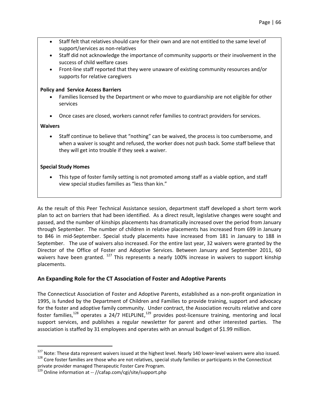- Staff felt that relatives should care for their own and are not entitled to the same level of support/services as non-relatives
- Staff did not acknowledge the importance of community supports or their involvement in the success of child welfare cases
- Front‐line staff reported that they were unaware of existing community resources and/or supports for relative caregivers

#### **Policy and Service Access Barriers**

- Families licensed by the Department or who move to guardianship are not eligible for other services
- Once cases are closed, workers cannot refer families to contract providers for services.

### **Waivers**

• Staff continue to believe that "nothing" can be waived, the process is too cumbersome, and when a waiver is sought and refused, the worker does not push back. Some staff believe that they will get into trouble if they seek a waiver.

### **Special Study Homes**

• This type of foster family setting is not promoted among staff as a viable option, and staff view special studies families as "less than kin."

As the result of this Peer Technical Assistance session, department staff developed a short term work plan to act on barriers that had been identified. As a direct result, legislative changes were sought and passed, and the number of kinships placements has dramatically increased over the period from January through September. The number of children in relative placements has increased from 699 in January to 846 in mid‐September. Special study placements have increased from 181 in January to 188 in September. The use of waivers also increased. For the entire last year, 32 waivers were granted by the Director of the Office of Foster and Adoptive Services. Between January and September 2011, 60 waivers have been granted. <sup>127</sup> This represents a nearly 100% increase in waivers to support kinship placements.

## **An Expanding Role for the CT Association of Foster and Adoptive Parents**

The Connecticut Association of Foster and Adoptive Parents, established as a non‐profit organization in 1995, is funded by the Department of Children and Families to provide training, support and advocacy for the foster and adoptive family community. Under contract, the Association recruits relative and core foster families, $128$  operates a 24/7 HELPLINE, $129$  provides post-licensure training, mentoring and local support services, and publishes a regular newsletter for parent and other interested parties. The association is staffed by 31 employees and operates with an annual budget of \$1.99 million.

 $^{127}$  Note: These data represent waivers issued at the highest level. Nearly 140 lower-level waivers were also issued.<br> $^{128}$  Core foster families are those who are not relatives, special study families or participants

private provider managed Therapeutic Foster Care Program. 129 Online information at -- //cafap.com/cgi/site/support.php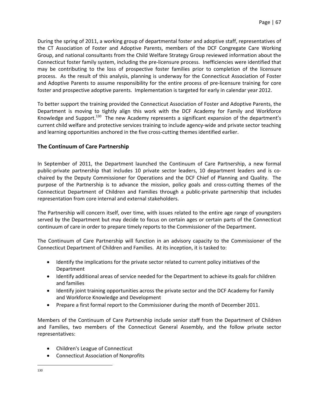During the spring of 2011, a working group of departmental foster and adoptive staff, representatives of the CT Association of Foster and Adoptive Parents, members of the DCF Congregate Care Working Group, and national consultants from the Child Welfare Strategy Group reviewed information about the Connecticut foster family system, including the pre‐licensure process. Inefficiencies were identified that may be contributing to the loss of prospective foster families prior to completion of the licensure process. As the result of this analysis, planning is underway for the Connecticut Association of Foster and Adoptive Parents to assume responsibility for the entire process of pre-licensure training for core foster and prospective adoptive parents. Implementation is targeted for early in calendar year 2012.

To better support the training provided the Connecticut Association of Foster and Adoptive Parents, the Department is moving to tightly align this work with the DCF Academy for Family and Workforce Knowledge and Support.<sup>130</sup> The new Academy represents a significant expansion of the department's current child welfare and protective services training to include agency-wide and private sector teaching and learning opportunities anchored in the five cross-cutting themes identified earlier.

# **The Continuum of Care Partnership**

In September of 2011, the Department launched the Continuum of Care Partnership, a new formal public‐private partnership that includes 10 private sector leaders, 10 department leaders and is co‐ chaired by the Deputy Commissioner for Operations and the DCF Chief of Planning and Quality. The purpose of the Partnership is to advance the mission, policy goals and cross‐cutting themes of the Connecticut Department of Children and Families through a public‐private partnership that includes representation from core internal and external stakeholders.

The Partnership will concern itself, over time, with issues related to the entire age range of youngsters served by the Department but may decide to focus on certain ages or certain parts of the Connecticut continuum of care in order to prepare timely reports to the Commissioner of the Department.

The Continuum of Care Partnership will function in an advisory capacity to the Commissioner of the Connecticut Department of Children and Families. At its inception, it is tasked to:

- Identify the implications for the private sector related to current policy initiatives of the Department
- Identify additional areas of service needed for the Department to achieve its goals for children and families
- Identify joint training opportunities across the private sector and the DCF Academy for Family and Workforce Knowledge and Development
- Prepare a first formal report to the Commissioner during the month of December 2011.

Members of the Continuum of Care Partnership include senior staff from the Department of Children and Families, two members of the Connecticut General Assembly, and the follow private sector representatives:

- Children's League of Connecticut
- Connecticut Association of Nonprofits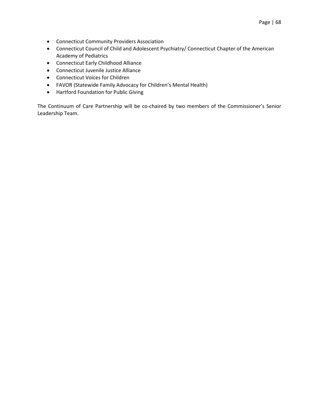- Connecticut Community Providers Association
- Connecticut Council of Child and Adolescent Psychiatry/ Connecticut Chapter of the American Academy of Pediatrics
- Connecticut Early Childhood Alliance
- Connecticut Juvenile Justice Alliance
- Connecticut Voices for Children
- FAVOR (Statewide Family Advocacy for Children's Mental Health)
- Hartford Foundation for Public Giving

The Continuum of Care Partnership will be co-chaired by two members of the Commissioner's Senior Leadership Team.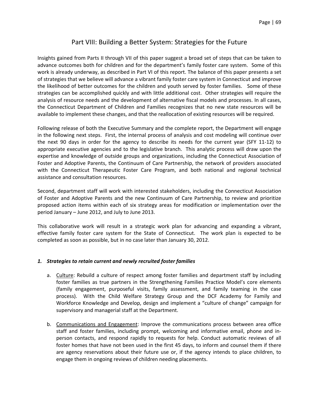# Part VIII: Building a Better System: Strategies for the Future

Insights gained from Parts II through VII of this paper suggest a broad set of steps that can be taken to advance outcomes both for children and for the department's family foster care system. Some of this work is already underway, as described in Part VI of this report. The balance of this paper presents a set of strategies that we believe will advance a vibrant family foster care system in Connecticut and improve the likelihood of better outcomes for the children and youth served by foster families. Some of these strategies can be accomplished quickly and with little additional cost. Other strategies will require the analysis of resource needs and the development of alternative fiscal models and processes. In all cases, the Connecticut Department of Children and Families recognizes that no new state resources will be available to implement these changes, and that the reallocation of existing resources will be required.

Following release of both the Executive Summary and the complete report, the Department will engage in the following next steps. First, the internal process of analysis and cost modeling will continue over the next 90 days in order for the agency to describe its needs for the current year (SFY 11‐12) to appropriate executive agencies and to the legislative branch. This analytic process will draw upon the expertise and knowledge of outside groups and organizations, including the Connecticut Association of Foster and Adoptive Parents, the Continuum of Care Partnership, the network of providers associated with the Connecticut Therapeutic Foster Care Program, and both national and regional technical assistance and consultation resources.

Second, department staff will work with interested stakeholders, including the Connecticut Association of Foster and Adoptive Parents and the new Continuum of Care Partnership, to review and prioritize proposed action items within each of six strategy areas for modification or implementation over the period January – June 2012, and July to June 2013.

This collaborative work will result in a strategic work plan for advancing and expanding a vibrant, effective family foster care system for the State of Connecticut. The work plan is expected to be completed as soon as possible, but in no case later than January 30, 2012.

### *1. Strategies to retain current and newly recruited foster families*

- a. Culture: Rebuild a culture of respect among foster families and department staff by including foster families as true partners in the Strengthening Families Practice Model's core elements (family engagement, purposeful visits, family assessment, and family teaming in the case process). With the Child Welfare Strategy Group and the DCF Academy for Family and Workforce Knowledge and Develop, design and implement a "culture of change" campaign for supervisory and managerial staff at the Department.
- b. Communications and Engagement: Improve the communications process between area office staff and foster families, including prompt, welcoming and informative email, phone and in‐ person contacts, and respond rapidly to requests for help. Conduct automatic reviews of all foster homes that have not been used in the first 45 days, to inform and counsel them if there are agency reservations about their future use or, if the agency intends to place children, to engage them in ongoing reviews of children needing placements.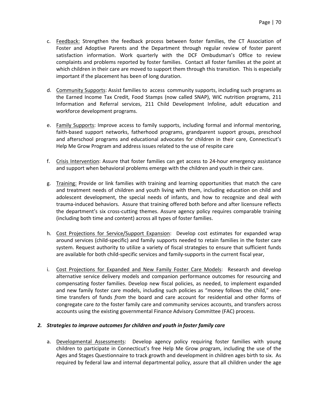- c. Feedback: Strengthen the feedback process between foster families, the CT Association of Foster and Adoptive Parents and the Department through regular review of foster parent satisfaction information. Work quarterly with the DCF Ombudsman's Office to review complaints and problems reported by foster families. Contact all foster families at the point at which children in their care are moved to support them through this transition. This is especially important if the placement has been of long duration.
- d. Community Supports: Assist families to access community supports, including such programs as the Earned Income Tax Credit, Food Stamps (now called SNAP), WIC nutrition programs, 211 Information and Referral services, 211 Child Development Infoline, adult education and workforce development programs.
- e. Family Supports: Improve access to family supports, including formal and informal mentoring, faith-based support networks, fatherhood programs, grandparent support groups, preschool and afterschool programs and educational advocates for children in their care, Connecticut's Help Me Grow Program and address issues related to the use of respite care
- f. Crisis Intervention: Assure that foster families can get access to 24‐hour emergency assistance and support when behavioral problems emerge with the children and youth in their care.
- g. Training: Provide or link families with training and learning opportunities that match the care and treatment needs of children and youth living with them, including education on child and adolescent development, the special needs of infants, and how to recognize and deal with trauma‐induced behaviors. Assure that training offered both before and after licensure reflects the department's six cross-cutting themes. Assure agency policy requires comparable training (including both time and content) across all types of foster families.
- h. Cost Projections for Service/Support Expansion: Develop cost estimates for expanded wrap around services (child‐specific) and family supports needed to retain families in the foster care system. Request authority to utilize a variety of fiscal strategies to ensure that sufficient funds are available for both child‐specific services and family‐supports in the current fiscal year,
- i. Cost Projections for Expanded and New Family Foster Care Models: Research and develop alternative service delivery models and companion performance outcomes for resourcing and compensating foster families. Develop new fiscal policies, as needed, to implement expanded and new family foster care models, including such policies as "money follows the child," onetime transfers of funds *from* the board and care account for residential and other forms of congregate care *to* the foster family care and community services accounts, and transfers across accounts using the existing governmental Finance Advisory Committee (FAC) process.

## *2. Strategies to improve outcomes for children and youth in foster family care*

a. Developmental Assessments: Develop agency policy requiring foster families with young children to participate in Connecticut's free Help Me Grow program, including the use of the Ages and Stages Questionnaire to track growth and development in children ages birth to six. As required by federal law and internal departmental policy, assure that all children under the age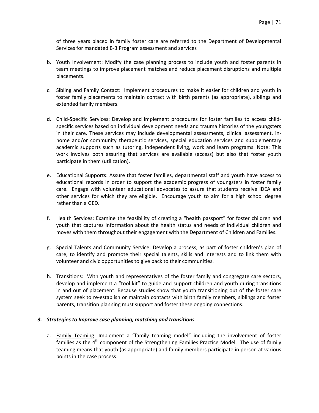of three years placed in family foster care are referred to the Department of Developmental Services for mandated B‐3 Program assessment and services

- b. Youth Involvement: Modify the case planning process to include youth and foster parents in team meetings to improve placement matches and reduce placement disruptions and multiple placements.
- c. Sibling and Family Contact: Implement procedures to make it easier for children and youth in foster family placements to maintain contact with birth parents (as appropriate), siblings and extended family members.
- d. Child‐Specific Services: Develop and implement procedures for foster families to access child‐ specific services based on individual development needs and trauma histories of the youngsters in their care. These services may include developmental assessments, clinical assessment, inhome and/or community therapeutic services, special education services and supplementary academic supports such as tutoring, independent living, work and learn programs. Note: This work involves both assuring that services are available (access) but also that foster youth participate in them (utilization).
- e. Educational Supports: Assure that foster families, departmental staff and youth have access to educational records in order to support the academic progress of youngsters in foster family care. Engage with volunteer educational advocates to assure that students receive IDEA and other services for which they are eligible. Encourage youth to aim for a high school degree rather than a GED.
- f. Health Services: Examine the feasibility of creating a "health passport" for foster children and youth that captures information about the health status and needs of individual children and moves with them throughout their engagement with the Department of Children and Families.
- g. Special Talents and Community Service: Develop a process, as part of foster children's plan of care, to identify and promote their special talents, skills and interests and to link them with volunteer and civic opportunities to give back to their communities.
- h. Transitions: With youth and representatives of the foster family and congregate care sectors, develop and implement a "tool kit" to guide and support children and youth during transitions in and out of placement. Because studies show that youth transitioning out of the foster care system seek to re‐establish or maintain contacts with birth family members, siblings and foster parents, transition planning must support and foster these ongoing connections.

### *3. Strategies to Improve case planning, matching and transitions*

a. Family Teaming: Implement a "family teaming model" including the involvement of foster families as the 4<sup>th</sup> component of the Strengthening Families Practice Model. The use of family teaming means that youth (as appropriate) and family members participate in person at various points in the case process.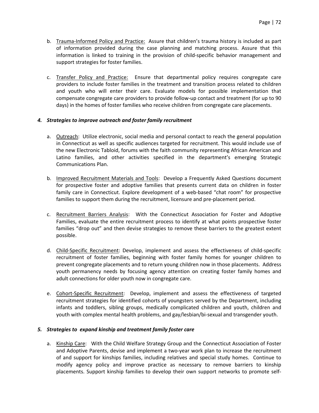- b. Trauma‐Informed Policy and Practice: Assure that children's trauma history is included as part of information provided during the case planning and matching process. Assure that this information is linked to training in the provision of child‐specific behavior management and support strategies for foster families.
- c. Transfer Policy and Practice: Ensure that departmental policy requires congregate care providers to include foster families in the treatment and transition process related to children and youth who will enter their care. Evaluate models for possible implementation that compensate congregate care providers to provide follow‐up contact and treatment (for up to 90 days) in the homes of foster families who receive children from congregate care placements.

### *4. Strategies to improve outreach and foster family recruitment*

- a. Outreach: Utilize electronic, social media and personal contact to reach the general population in Connecticut as well as specific audiences targeted for recruitment. This would include use of the new Electronic Tabloid, forums with the faith community representing African American and Latino families, and other activities specified in the department's emerging Strategic Communications Plan.
- b. Improved Recruitment Materials and Tools: Develop a Frequently Asked Questions document for prospective foster and adoptive families that presents current data on children in foster family care in Connecticut. Explore development of a web-based "chat room" for prospective families to support them during the recruitment, licensure and pre‐placement period.
- c. Recruitment Barriers Analysis: With the Connecticut Association for Foster and Adoptive Families, evaluate the entire recruitment process to identify at what points prospective foster families "drop out" and then devise strategies to remove these barriers to the greatest extent possible.
- d. Child‐Specific Recruitment: Develop, implement and assess the effectiveness of child‐specific recruitment of foster families, beginning with foster family homes for younger children to prevent congregate placements and to return young children now in those placements. Address youth permanency needs by focusing agency attention on creating foster family homes and adult connections for older youth now in congregate care.
- e. Cohort‐Specific Recruitment: Develop, implement and assess the effectiveness of targeted recruitment strategies for identified cohorts of youngsters served by the Department, including infants and toddlers, sibling groups, medically complicated children and youth, children and youth with complex mental health problems, and gay/lesbian/bi‐sexual and transgender youth.

### *5. Strategies to expand kinship and treatment family foster care*

a. Kinship Care: With the Child Welfare Strategy Group and the Connecticut Association of Foster and Adoptive Parents, devise and implement a two‐year work plan to increase the recruitment of and support for kinships families, including relatives and special study homes. Continue to modify agency policy and improve practice as necessary to remove barriers to kinship placements. Support kinship families to develop their own support networks to promote self‐